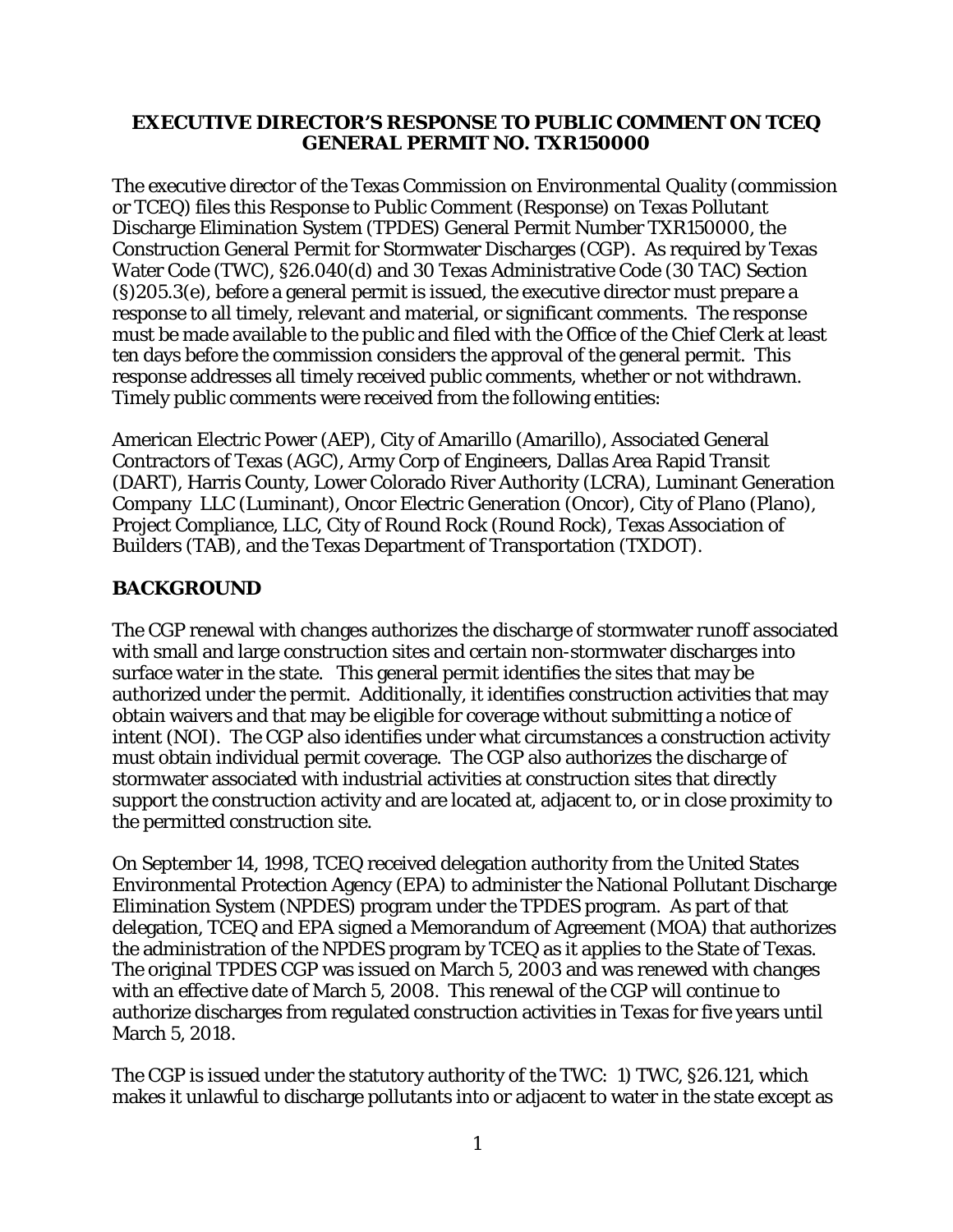#### **EXECUTIVE DIRECTOR'S RESPONSE TO PUBLIC COMMENT ON TCEQ GENERAL PERMIT NO. TXR150000**

The executive director of the Texas Commission on Environmental Quality (commission or TCEQ) files this Response to Public Comment (Response) on Texas Pollutant Discharge Elimination System (TPDES) General Permit Number TXR150000, the Construction General Permit for Stormwater Discharges (CGP). As required by Texas Water Code (TWC), §26.040(d) and 30 Texas Administrative Code (30 TAC) Section (§)205.3(e), before a general permit is issued, the executive director must prepare a response to all timely, relevant and material, or significant comments. The response must be made available to the public and filed with the Office of the Chief Clerk at least ten days before the commission considers the approval of the general permit. This response addresses all timely received public comments, whether or not withdrawn. Timely public comments were received from the following entities:

American Electric Power (AEP), City of Amarillo (Amarillo), Associated General Contractors of Texas (AGC), Army Corp of Engineers, Dallas Area Rapid Transit (DART), Harris County, Lower Colorado River Authority (LCRA), Luminant Generation Company LLC (Luminant), Oncor Electric Generation (Oncor), City of Plano (Plano), Project Compliance, LLC, City of Round Rock (Round Rock), Texas Association of Builders (TAB), and the Texas Department of Transportation (TXDOT).

#### **BACKGROUND**

The CGP renewal with changes authorizes the discharge of stormwater runoff associated with small and large construction sites and certain non-stormwater discharges into surface water in the state. This general permit identifies the sites that may be authorized under the permit. Additionally, it identifies construction activities that may obtain waivers and that may be eligible for coverage without submitting a notice of intent (NOI). The CGP also identifies under what circumstances a construction activity must obtain individual permit coverage. The CGP also authorizes the discharge of stormwater associated with industrial activities at construction sites that directly support the construction activity and are located at, adjacent to, or in close proximity to the permitted construction site.

On September 14, 1998, TCEQ received delegation authority from the United States Environmental Protection Agency (EPA) to administer the National Pollutant Discharge Elimination System (NPDES) program under the TPDES program. As part of that delegation, TCEQ and EPA signed a Memorandum of Agreement (MOA) that authorizes the administration of the NPDES program by TCEQ as it applies to the State of Texas. The original TPDES CGP was issued on March 5, 2003 and was renewed with changes with an effective date of March 5, 2008. This renewal of the CGP will continue to authorize discharges from regulated construction activities in Texas for five years until March 5, 2018.

The CGP is issued under the statutory authority of the TWC: 1) TWC, §26.121, which makes it unlawful to discharge pollutants into or adjacent to water in the state except as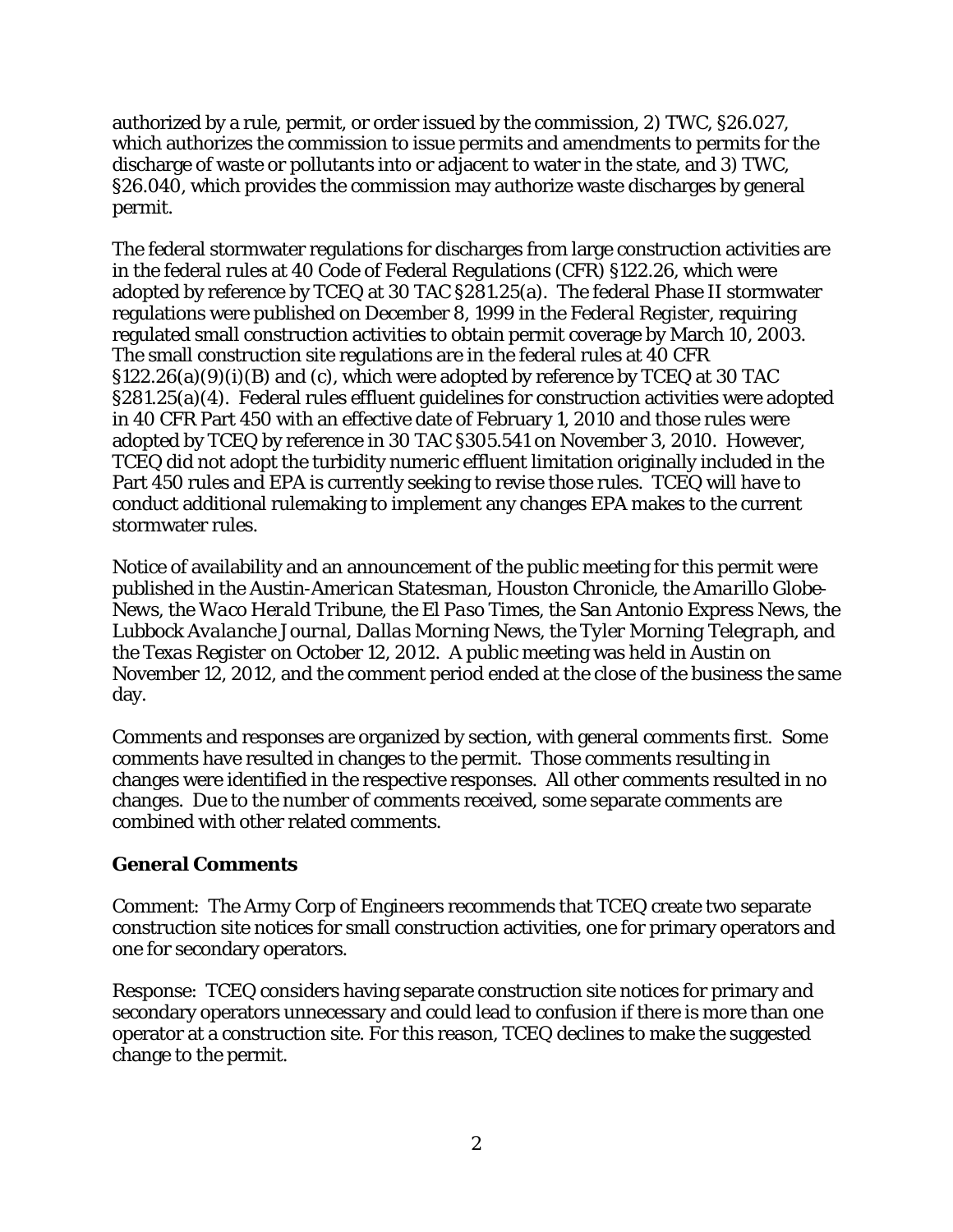authorized by a rule, permit, or order issued by the commission, 2) TWC, §26.027, which authorizes the commission to issue permits and amendments to permits for the discharge of waste or pollutants into or adjacent to water in the state, and 3) TWC, §26.040, which provides the commission may authorize waste discharges by general permit.

The federal stormwater regulations for discharges from large construction activities are in the federal rules at 40 Code of Federal Regulations (CFR) §122.26, which were adopted by reference by TCEQ at 30 TAC §281.25(a). The federal Phase II stormwater regulations were published on December 8, 1999 in the *Federal Register*, requiring regulated small construction activities to obtain permit coverage by March 10, 2003. The small construction site regulations are in the federal rules at 40 CFR §122.26(a)(9)(i)(B) and (c), which were adopted by reference by TCEQ at 30 TAC §281.25(a)(4). Federal rules effluent guidelines for construction activities were adopted in 40 CFR Part 450 with an effective date of February 1, 2010 and those rules were adopted by TCEQ by reference in 30 TAC §305.541 on November 3, 2010. However, TCEQ did not adopt the turbidity numeric effluent limitation originally included in the Part 450 rules and EPA is currently seeking to revise those rules. TCEQ will have to conduct additional rulemaking to implement any changes EPA makes to the current stormwater rules.

Notice of availability and an announcement of the public meeting for this permit were published in the *Austin-American Statesman, Houston Chronicle*, the *Amarillo Globe-News*, the *Waco Herald Tribune*, the *El Paso Times*, the *San Antonio Express News*, the *Lubbock Avalanche Journal, Dallas Morning News,* the *Tyler Morning Telegraph,* and the *Texas Register* on October 12, 2012. A public meeting was held in Austin on November 12, 2012, and the comment period ended at the close of the business the same day.

Comments and responses are organized by section, with general comments first. Some comments have resulted in changes to the permit. Those comments resulting in changes were identified in the respective responses. All other comments resulted in no changes. Due to the number of comments received, some separate comments are combined with other related comments.

#### **General Comments**

Comment: The Army Corp of Engineers recommends that TCEQ create two separate construction site notices for small construction activities, one for primary operators and one for secondary operators.

Response: TCEQ considers having separate construction site notices for primary and secondary operators unnecessary and could lead to confusion if there is more than one operator at a construction site. For this reason, TCEQ declines to make the suggested change to the permit.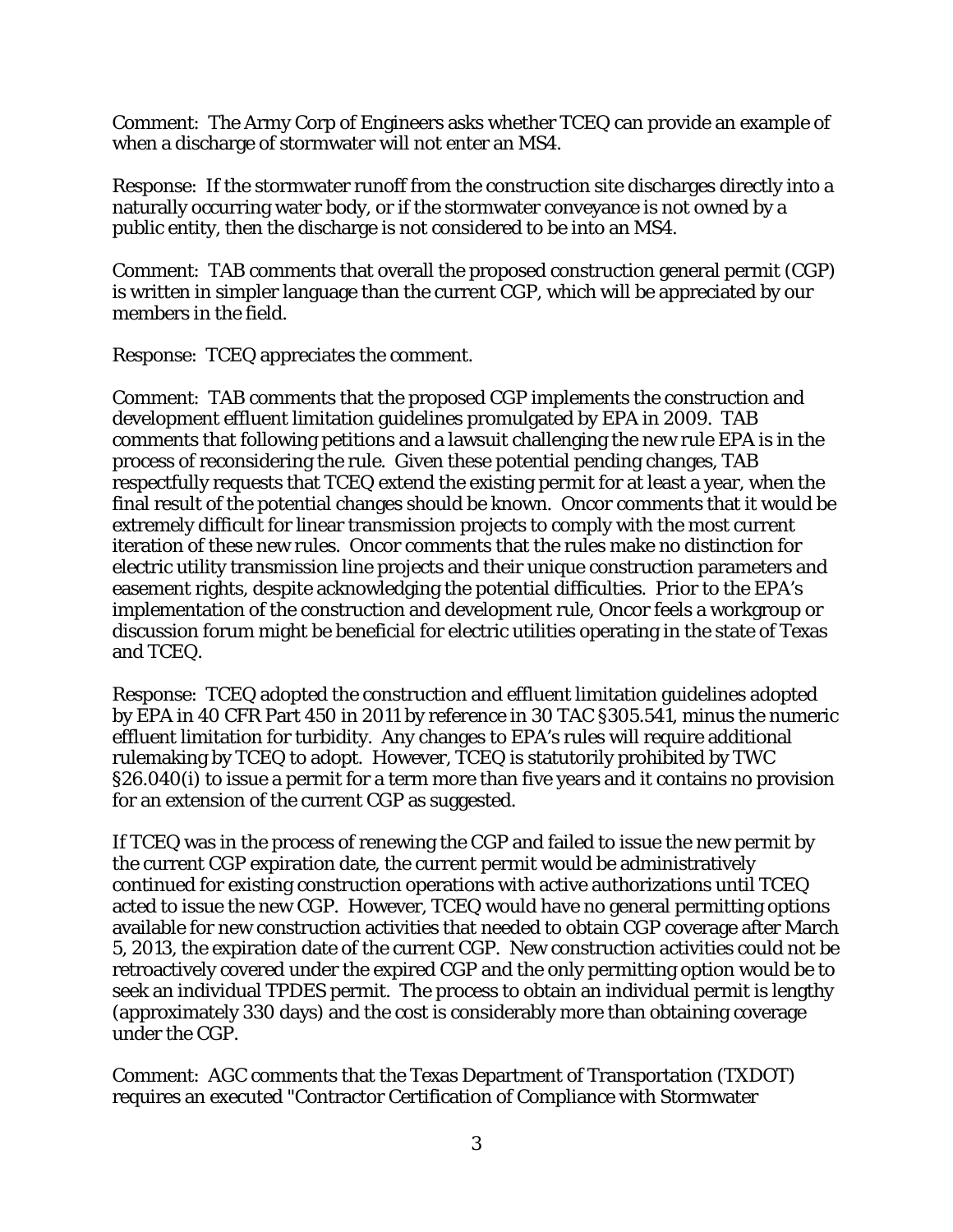Comment: The Army Corp of Engineers asks whether TCEQ can provide an example of when a discharge of stormwater will not enter an MS4.

Response: If the stormwater runoff from the construction site discharges directly into a naturally occurring water body, or if the stormwater conveyance is not owned by a public entity, then the discharge is not considered to be into an MS4.

Comment: TAB comments that overall the proposed construction general permit (CGP) is written in simpler language than the current CGP, which will be appreciated by our members in the field.

Response: TCEQ appreciates the comment.

Comment: TAB comments that the proposed CGP implements the construction and development effluent limitation guidelines promulgated by EPA in 2009. TAB comments that following petitions and a lawsuit challenging the new rule EPA is in the process of reconsidering the rule. Given these potential pending changes, TAB respectfully requests that TCEQ extend the existing permit for at least a year, when the final result of the potential changes should be known. Oncor comments that it would be extremely difficult for linear transmission projects to comply with the most current iteration of these new rules. Oncor comments that the rules make no distinction for electric utility transmission line projects and their unique construction parameters and easement rights, despite acknowledging the potential difficulties. Prior to the EPA's implementation of the construction and development rule, Oncor feels a workgroup or discussion forum might be beneficial for electric utilities operating in the state of Texas and TCEQ.

Response: TCEQ adopted the construction and effluent limitation guidelines adopted by EPA in 40 CFR Part 450 in 2011 by reference in 30 TAC §305.541, minus the numeric effluent limitation for turbidity. Any changes to EPA's rules will require additional rulemaking by TCEQ to adopt. However, TCEQ is statutorily prohibited by TWC §26.040(i) to issue a permit for a term more than five years and it contains no provision for an extension of the current CGP as suggested.

If TCEQ was in the process of renewing the CGP and failed to issue the new permit by the current CGP expiration date, the current permit would be administratively continued for existing construction operations with active authorizations until TCEQ acted to issue the new CGP. However, TCEQ would have no general permitting options available for new construction activities that needed to obtain CGP coverage after March 5, 2013, the expiration date of the current CGP. New construction activities could not be retroactively covered under the expired CGP and the only permitting option would be to seek an individual TPDES permit. The process to obtain an individual permit is lengthy (approximately 330 days) and the cost is considerably more than obtaining coverage under the CGP.

Comment: AGC comments that the Texas Department of Transportation (TXDOT) requires an executed "Contractor Certification of Compliance with Stormwater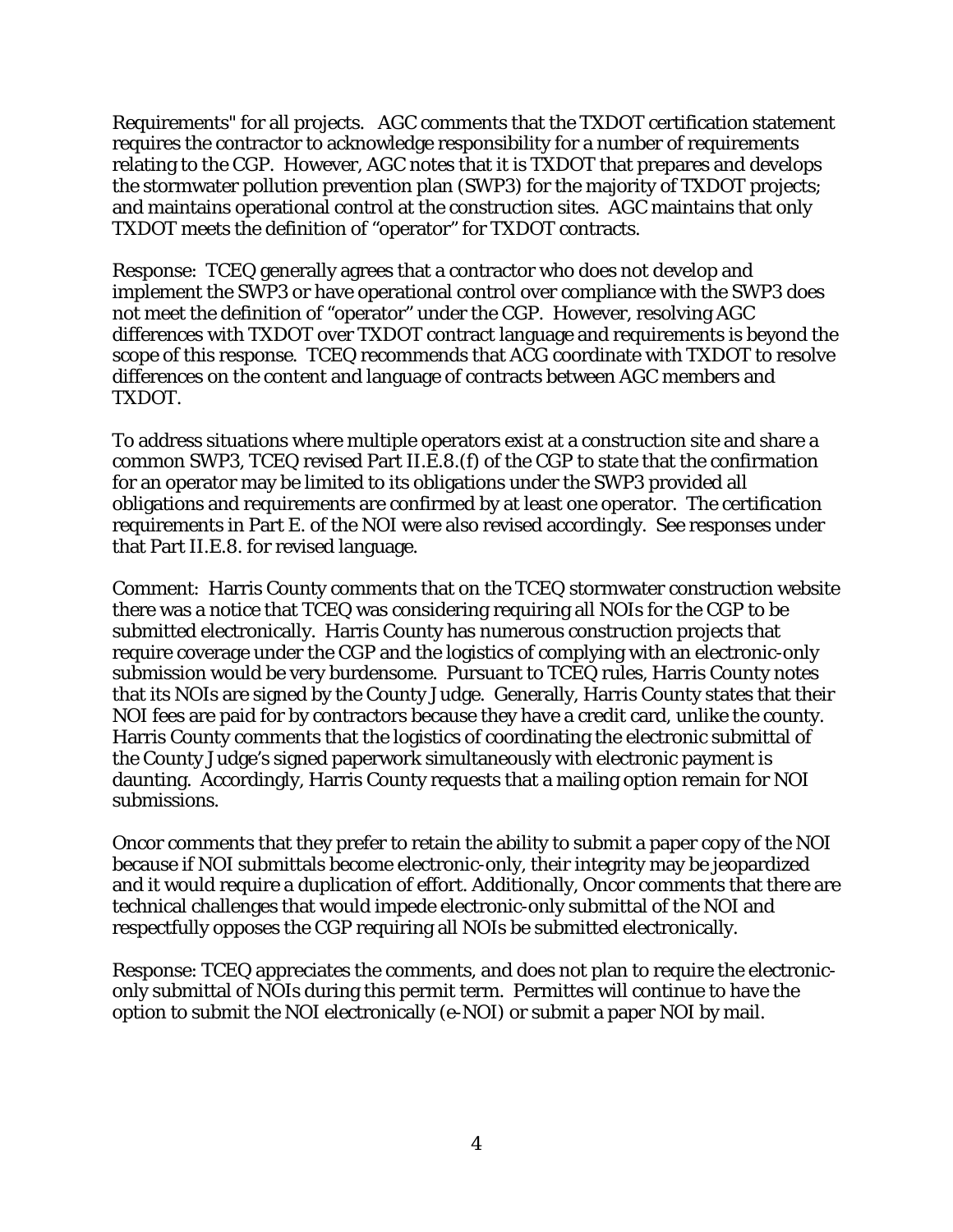Requirements" for all projects. AGC comments that the TXDOT certification statement requires the contractor to acknowledge responsibility for a number of requirements relating to the CGP. However, AGC notes that it is TXDOT that prepares and develops the stormwater pollution prevention plan (SWP3) for the majority of TXDOT projects; and maintains operational control at the construction sites. AGC maintains that only TXDOT meets the definition of "operator" for TXDOT contracts.

Response: TCEQ generally agrees that a contractor who does not develop and implement the SWP3 or have operational control over compliance with the SWP3 does not meet the definition of "operator" under the CGP. However, resolving AGC differences with TXDOT over TXDOT contract language and requirements is beyond the scope of this response. TCEQ recommends that ACG coordinate with TXDOT to resolve differences on the content and language of contracts between AGC members and TXDOT.

To address situations where multiple operators exist at a construction site and share a common SWP3, TCEQ revised Part II.E.8.(f) of the CGP to state that the confirmation for an operator may be limited to its obligations under the SWP3 provided all obligations and requirements are confirmed by at least one operator. The certification requirements in Part E. of the NOI were also revised accordingly. See responses under that Part II.E.8. for revised language.

Comment: Harris County comments that on the TCEQ stormwater construction website there was a notice that TCEQ was considering requiring all NOIs for the CGP to be submitted electronically. Harris County has numerous construction projects that require coverage under the CGP and the logistics of complying with an electronic-only submission would be very burdensome. Pursuant to TCEQ rules, Harris County notes that its NOIs are signed by the County Judge. Generally, Harris County states that their NOI fees are paid for by contractors because they have a credit card, unlike the county. Harris County comments that the logistics of coordinating the electronic submittal of the County Judge's signed paperwork simultaneously with electronic payment is daunting. Accordingly, Harris County requests that a mailing option remain for NOI submissions.

Oncor comments that they prefer to retain the ability to submit a paper copy of the NOI because if NOI submittals become electronic-only, their integrity may be jeopardized and it would require a duplication of effort. Additionally, Oncor comments that there are technical challenges that would impede electronic-only submittal of the NOI and respectfully opposes the CGP requiring all NOIs be submitted electronically.

Response: TCEQ appreciates the comments, and does not plan to require the electroniconly submittal of NOIs during this permit term. Permittes will continue to have the option to submit the NOI electronically (e-NOI) or submit a paper NOI by mail.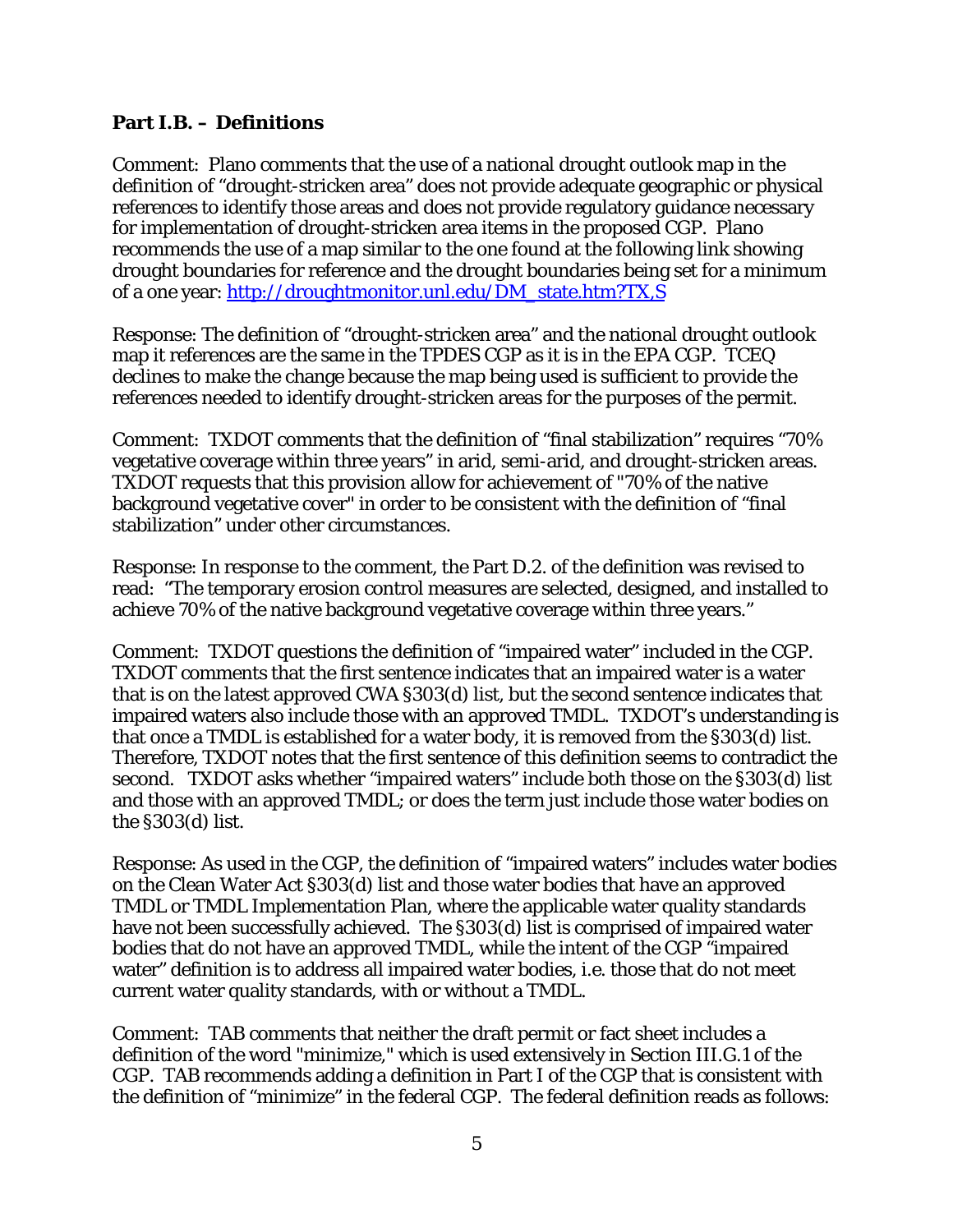#### **Part I.B. – Definitions**

Comment: Plano comments that the use of a national drought outlook map in the definition of "drought-stricken area" does not provide adequate geographic or physical references to identify those areas and does not provide regulatory guidance necessary for implementation of drought-stricken area items in the proposed CGP. Plano recommends the use of a map similar to the one found at the following link showing drought boundaries for reference and the drought boundaries being set for a minimum of a one year: [http://droughtmonitor.unl.edu/DM\\_state.htm?TX,S](http://droughtmonitor.unl.edu/DM_state.htm?TX,S)

Response: The definition of "drought-stricken area" and the national drought outlook map it references are the same in the TPDES CGP as it is in the EPA CGP. TCEQ declines to make the change because the map being used is sufficient to provide the references needed to identify drought-stricken areas for the purposes of the permit.

Comment: TXDOT comments that the definition of "final stabilization" requires "70% vegetative coverage within three years" in arid, semi-arid, and drought-stricken areas. TXDOT requests that this provision allow for achievement of "70% of the native background vegetative cover" in order to be consistent with the definition of "final stabilization" under other circumstances.

Response: In response to the comment, the Part D.2. of the definition was revised to read: "The temporary erosion control measures are selected, designed, and installed to achieve 70% of the native background vegetative coverage within three years."

Comment: TXDOT questions the definition of "impaired water" included in the CGP. TXDOT comments that the first sentence indicates that an impaired water is a water that is on the latest approved CWA §303(d) list, but the second sentence indicates that impaired waters also include those with an approved TMDL. TXDOT's understanding is that once a TMDL is established for a water body, it is removed from the §303(d) list. Therefore, TXDOT notes that the first sentence of this definition seems to contradict the second. TXDOT asks whether "impaired waters" include both those on the §303(d) list and those with an approved TMDL; or does the term just include those water bodies on the §303(d) list.

Response: As used in the CGP, the definition of "impaired waters" includes water bodies on the Clean Water Act §303(d) list and those water bodies that have an approved TMDL or TMDL Implementation Plan, where the applicable water quality standards have not been successfully achieved. The §303(d) list is comprised of impaired water bodies that do not have an approved TMDL, while the intent of the CGP "impaired water" definition is to address all impaired water bodies, i.e. those that do not meet current water quality standards, with or without a TMDL.

Comment: TAB comments that neither the draft permit or fact sheet includes a definition of the word "minimize," which is used extensively in Section III.G.1 of the CGP. TAB recommends adding a definition in Part I of the CGP that is consistent with the definition of "minimize" in the federal CGP. The federal definition reads as follows: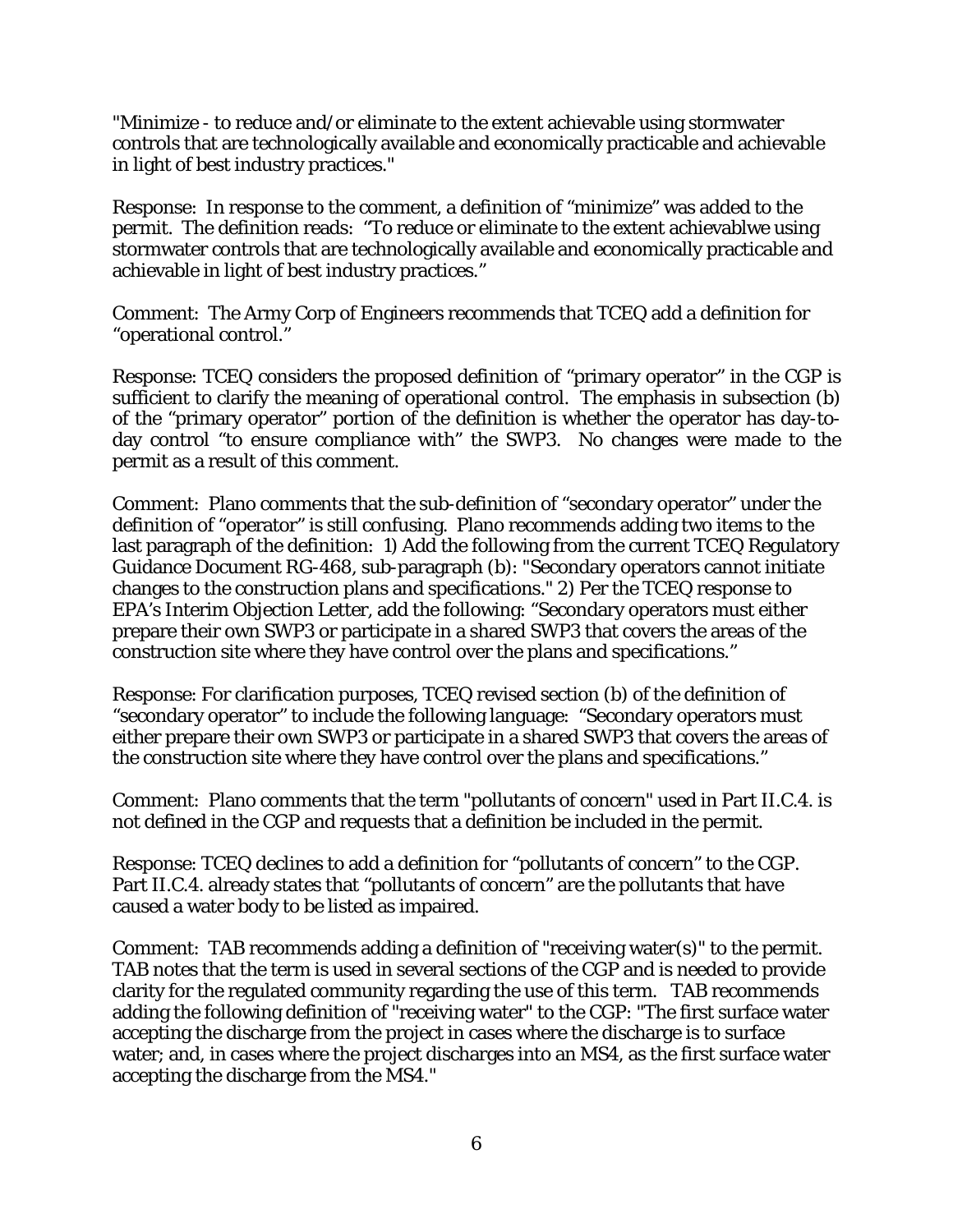"Minimize - to reduce and/or eliminate to the extent achievable using stormwater controls that are technologically available and economically practicable and achievable in light of best industry practices."

Response: In response to the comment, a definition of "minimize" was added to the permit. The definition reads: "To reduce or eliminate to the extent achievablwe using stormwater controls that are technologically available and economically practicable and achievable in light of best industry practices."

Comment: The Army Corp of Engineers recommends that TCEQ add a definition for "operational control."

Response: TCEQ considers the proposed definition of "primary operator" in the CGP is sufficient to clarify the meaning of operational control. The emphasis in subsection (b) of the "primary operator" portion of the definition is whether the operator has day-today control "to ensure compliance with" the SWP3. No changes were made to the permit as a result of this comment.

Comment: Plano comments that the sub-definition of "secondary operator" under the definition of "operator" is still confusing. Plano recommends adding two items to the last paragraph of the definition: 1) Add the following from the current TCEQ Regulatory Guidance Document RG-468, sub-paragraph (b): "Secondary operators cannot initiate changes to the construction plans and specifications." 2) Per the TCEQ response to EPA's Interim Objection Letter, add the following: "Secondary operators must either prepare their own SWP3 or participate in a shared SWP3 that covers the areas of the construction site where they have control over the plans and specifications."

Response: For clarification purposes, TCEQ revised section (b) of the definition of "secondary operator" to include the following language: "Secondary operators must either prepare their own SWP3 or participate in a shared SWP3 that covers the areas of the construction site where they have control over the plans and specifications."

Comment: Plano comments that the term "pollutants of concern" used in Part II.C.4. is not defined in the CGP and requests that a definition be included in the permit.

Response: TCEQ declines to add a definition for "pollutants of concern" to the CGP. Part II.C.4. already states that "pollutants of concern" are the pollutants that have caused a water body to be listed as impaired.

Comment: TAB recommends adding a definition of "receiving water(s)" to the permit. TAB notes that the term is used in several sections of the CGP and is needed to provide clarity for the regulated community regarding the use of this term. TAB recommends adding the following definition of "receiving water" to the CGP: "The first surface water accepting the discharge from the project in cases where the discharge is to surface water; and, in cases where the project discharges into an MS4, as the first surface water accepting the discharge from the MS4."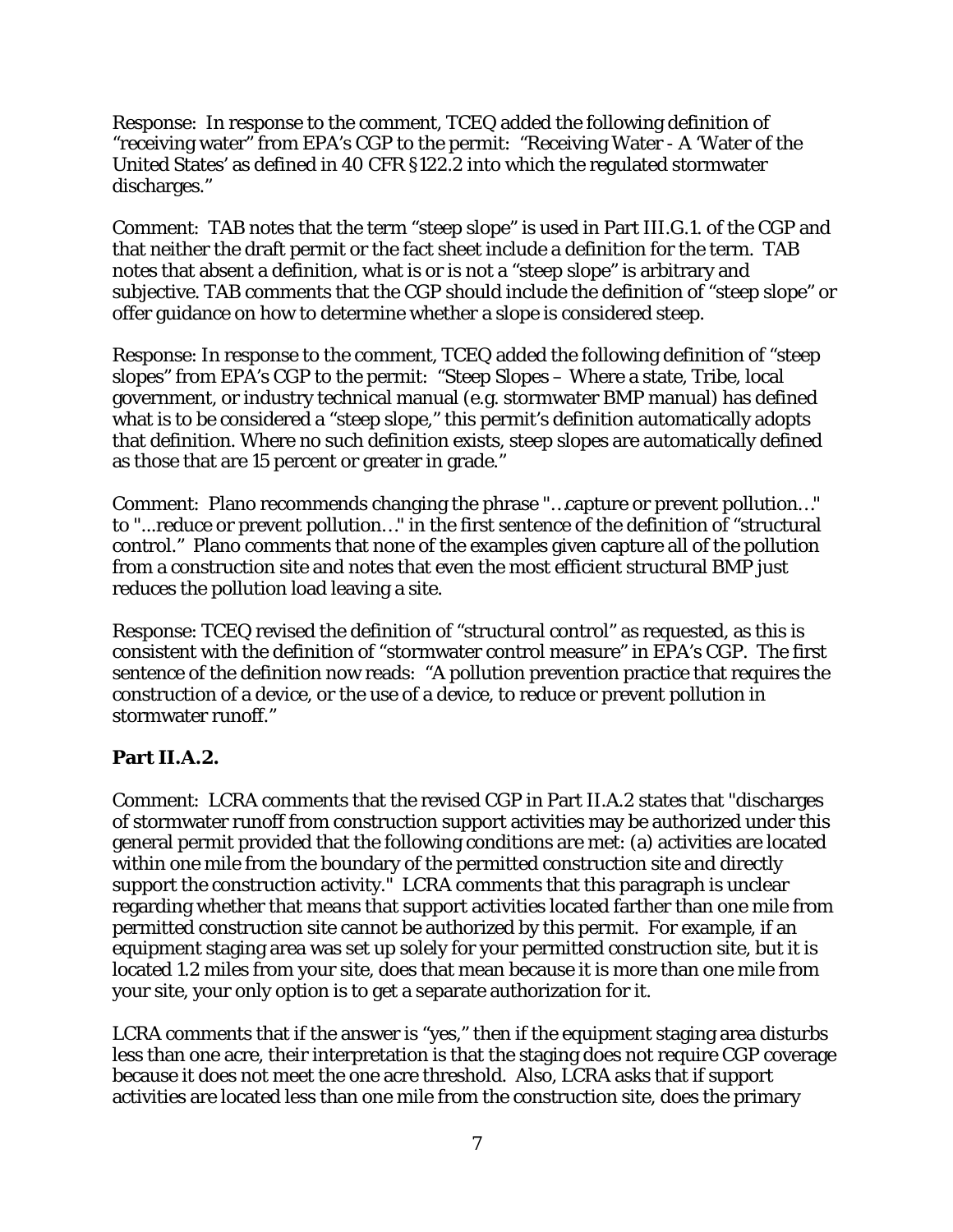Response: In response to the comment, TCEQ added the following definition of "receiving water" from EPA's CGP to the permit: "Receiving Water - A 'Water of the United States' as defined in 40 CFR §122.2 into which the regulated stormwater discharges."

Comment: TAB notes that the term "steep slope" is used in Part III.G.1. of the CGP and that neither the draft permit or the fact sheet include a definition for the term. TAB notes that absent a definition, what is or is not a "steep slope" is arbitrary and subjective. TAB comments that the CGP should include the definition of "steep slope" or offer guidance on how to determine whether a slope is considered steep.

Response: In response to the comment, TCEQ added the following definition of "steep slopes" from EPA's CGP to the permit: "Steep Slopes – Where a state, Tribe, local government, or industry technical manual (e.g. stormwater BMP manual) has defined what is to be considered a "steep slope," this permit's definition automatically adopts that definition. Where no such definition exists, steep slopes are automatically defined as those that are 15 percent or greater in grade."

Comment: Plano recommends changing the phrase "…capture or prevent pollution…" to "...reduce or prevent pollution…" in the first sentence of the definition of "structural control." Plano comments that none of the examples given capture all of the pollution from a construction site and notes that even the most efficient structural BMP just reduces the pollution load leaving a site.

Response: TCEQ revised the definition of "structural control" as requested, as this is consistent with the definition of "stormwater control measure" in EPA's CGP. The first sentence of the definition now reads: "A pollution prevention practice that requires the construction of a device, or the use of a device, to reduce or prevent pollution in stormwater runoff."

## **Part II.A.2.**

Comment: LCRA comments that the revised CGP in Part II.A.2 states that "discharges of stormwater runoff from construction support activities may be authorized under this general permit provided that the following conditions are met: (a) activities are located within one mile from the boundary of the permitted construction site and directly support the construction activity." LCRA comments that this paragraph is unclear regarding whether that means that support activities located farther than one mile from permitted construction site cannot be authorized by this permit. For example, if an equipment staging area was set up solely for your permitted construction site, but it is located 1.2 miles from your site, does that mean because it is more than one mile from your site, your only option is to get a separate authorization for it.

LCRA comments that if the answer is "yes," then if the equipment staging area disturbs less than one acre, their interpretation is that the staging does not require CGP coverage because it does not meet the one acre threshold. Also, LCRA asks that if support activities are located less than one mile from the construction site, does the primary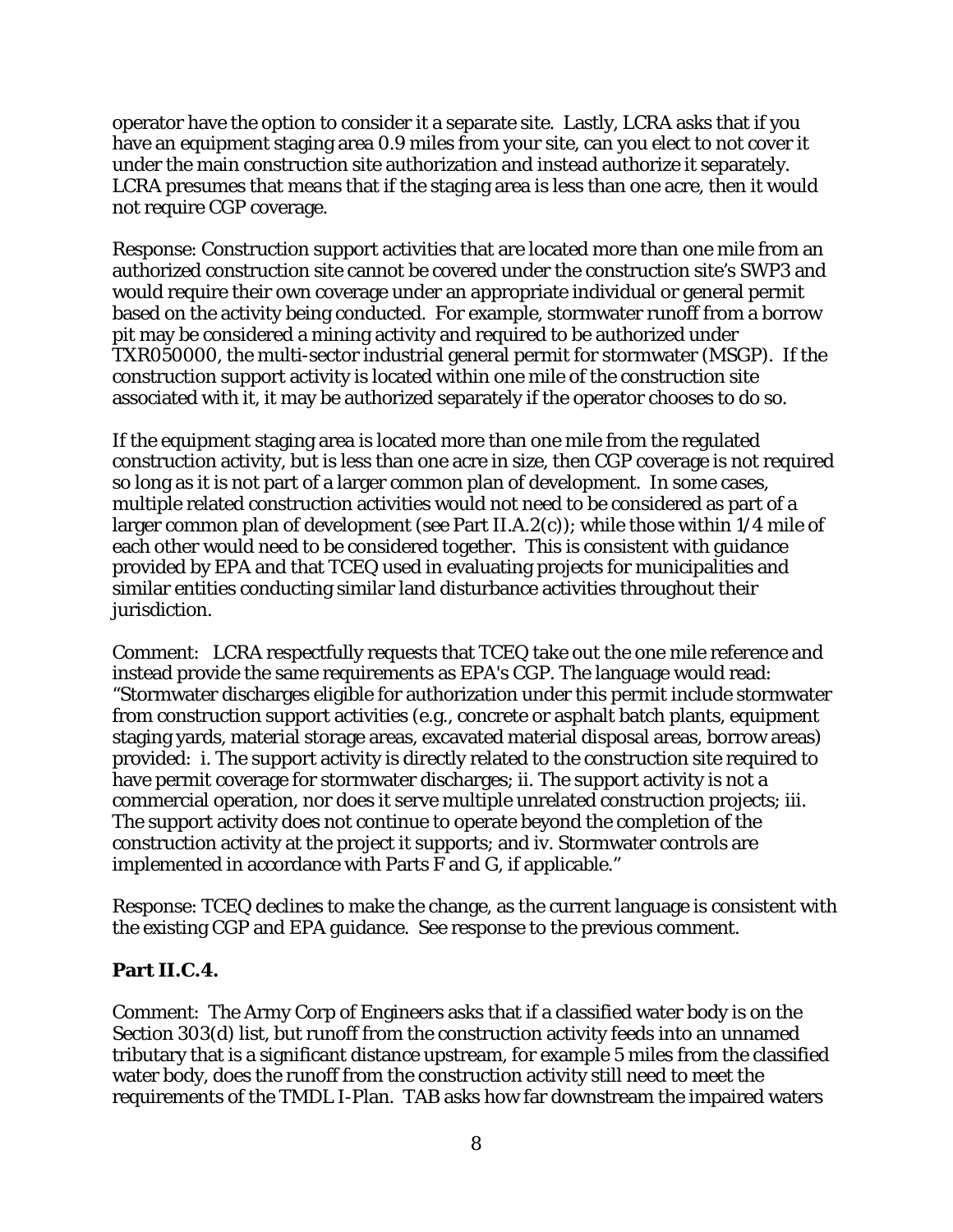operator have the option to consider it a separate site. Lastly, LCRA asks that if you have an equipment staging area 0.9 miles from your site, can you elect to not cover it under the main construction site authorization and instead authorize it separately. LCRA presumes that means that if the staging area is less than one acre, then it would not require CGP coverage.

Response: Construction support activities that are located more than one mile from an authorized construction site cannot be covered under the construction site's SWP3 and would require their own coverage under an appropriate individual or general permit based on the activity being conducted. For example, stormwater runoff from a borrow pit may be considered a mining activity and required to be authorized under TXR050000, the multi-sector industrial general permit for stormwater (MSGP). If the construction support activity is located within one mile of the construction site associated with it, it may be authorized separately if the operator chooses to do so.

If the equipment staging area is located more than one mile from the regulated construction activity, but is less than one acre in size, then CGP coverage is not required so long as it is not part of a larger common plan of development. In some cases, multiple related construction activities would not need to be considered as part of a larger common plan of development (see Part II.A.2(c)); while those within 1/4 mile of each other would need to be considered together. This is consistent with guidance provided by EPA and that TCEQ used in evaluating projects for municipalities and similar entities conducting similar land disturbance activities throughout their jurisdiction.

Comment: LCRA respectfully requests that TCEQ take out the one mile reference and instead provide the same requirements as EPA's CGP. The language would read: "Stormwater discharges eligible for authorization under this permit include stormwater from construction support activities (e.g., concrete or asphalt batch plants, equipment staging yards, material storage areas, excavated material disposal areas, borrow areas) provided: i. The support activity is directly related to the construction site required to have permit coverage for stormwater discharges; ii. The support activity is not a commercial operation, nor does it serve multiple unrelated construction projects; iii. The support activity does not continue to operate beyond the completion of the construction activity at the project it supports; and iv. Stormwater controls are implemented in accordance with Parts F and G, if applicable."

Response: TCEQ declines to make the change, as the current language is consistent with the existing CGP and EPA guidance. See response to the previous comment.

#### **Part II.C.4.**

Comment: The Army Corp of Engineers asks that if a classified water body is on the Section 303(d) list, but runoff from the construction activity feeds into an unnamed tributary that is a significant distance upstream, for example 5 miles from the classified water body, does the runoff from the construction activity still need to meet the requirements of the TMDL I-Plan. TAB asks how far downstream the impaired waters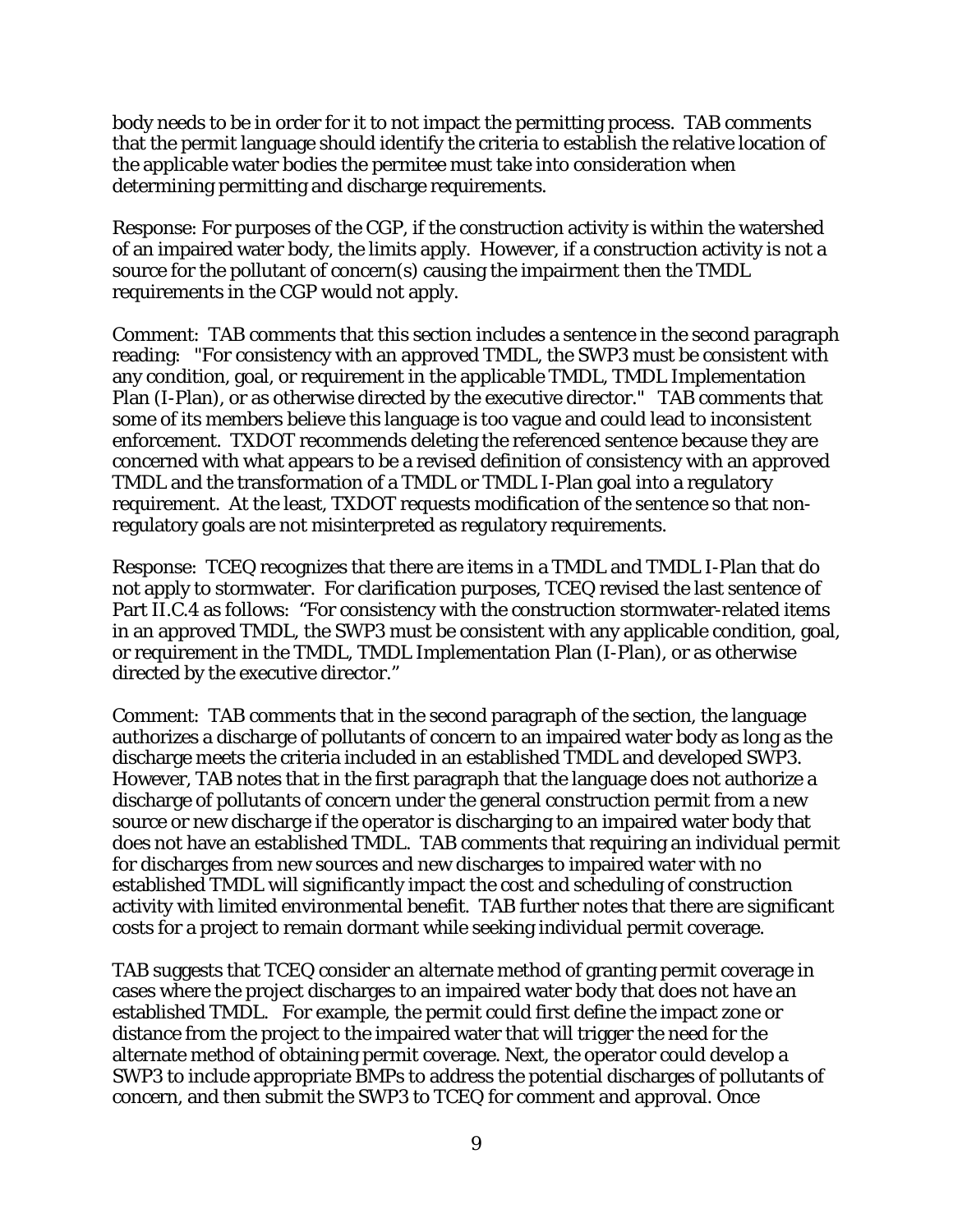body needs to be in order for it to not impact the permitting process. TAB comments that the permit language should identify the criteria to establish the relative location of the applicable water bodies the permitee must take into consideration when determining permitting and discharge requirements.

Response: For purposes of the CGP, if the construction activity is within the watershed of an impaired water body, the limits apply. However, if a construction activity is not a source for the pollutant of concern(s) causing the impairment then the TMDL requirements in the CGP would not apply.

Comment: TAB comments that this section includes a sentence in the second paragraph reading: "For consistency with an approved TMDL, the SWP3 must be consistent with any condition, goal, or requirement in the applicable TMDL, TMDL Implementation Plan (I-Plan), or as otherwise directed by the executive director." TAB comments that some of its members believe this language is too vague and could lead to inconsistent enforcement. TXDOT recommends deleting the referenced sentence because they are concerned with what appears to be a revised definition of consistency with an approved TMDL and the transformation of a TMDL or TMDL I-Plan goal into a regulatory requirement. At the least, TXDOT requests modification of the sentence so that nonregulatory goals are not misinterpreted as regulatory requirements.

Response: TCEQ recognizes that there are items in a TMDL and TMDL I-Plan that do not apply to stormwater. For clarification purposes, TCEQ revised the last sentence of Part II.C.4 as follows: "For consistency with the construction stormwater-related items in an approved TMDL, the SWP3 must be consistent with any applicable condition, goal, or requirement in the TMDL, TMDL Implementation Plan (I-Plan), or as otherwise directed by the executive director."

Comment: TAB comments that in the second paragraph of the section, the language authorizes a discharge of pollutants of concern to an impaired water body as long as the discharge meets the criteria included in an established TMDL and developed SWP3. However, TAB notes that in the first paragraph that the language does not authorize a discharge of pollutants of concern under the general construction permit from a new source or new discharge if the operator is discharging to an impaired water body that does not have an established TMDL. TAB comments that requiring an individual permit for discharges from new sources and new discharges to impaired water with no established TMDL will significantly impact the cost and scheduling of construction activity with limited environmental benefit. TAB further notes that there are significant costs for a project to remain dormant while seeking individual permit coverage.

TAB suggests that TCEQ consider an alternate method of granting permit coverage in cases where the project discharges to an impaired water body that does not have an established TMDL. For example, the permit could first define the impact zone or distance from the project to the impaired water that will trigger the need for the alternate method of obtaining permit coverage. Next, the operator could develop a SWP3 to include appropriate BMPs to address the potential discharges of pollutants of concern, and then submit the SWP3 to TCEQ for comment and approval. Once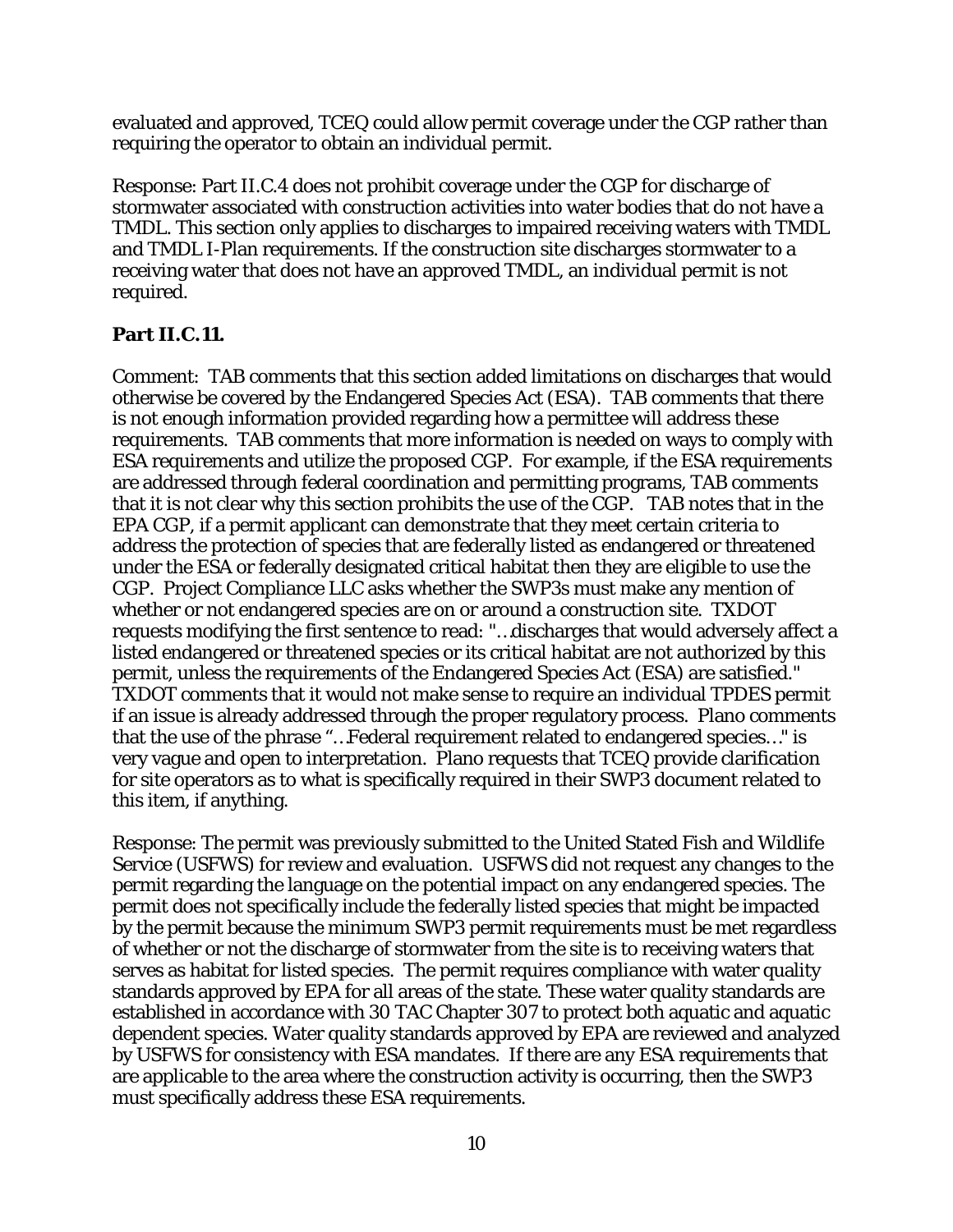evaluated and approved, TCEQ could allow permit coverage under the CGP rather than requiring the operator to obtain an individual permit.

Response: Part II.C.4 does not prohibit coverage under the CGP for discharge of stormwater associated with construction activities into water bodies that do not have a TMDL. This section only applies to discharges to impaired receiving waters with TMDL and TMDL I-Plan requirements. If the construction site discharges stormwater to a receiving water that does not have an approved TMDL, an individual permit is not required.

#### **Part II.C.11.**

Comment: TAB comments that this section added limitations on discharges that would otherwise be covered by the Endangered Species Act (ESA). TAB comments that there is not enough information provided regarding how a permittee will address these requirements. TAB comments that more information is needed on ways to comply with ESA requirements and utilize the proposed CGP. For example, if the ESA requirements are addressed through federal coordination and permitting programs, TAB comments that it is not clear why this section prohibits the use of the CGP. TAB notes that in the EPA CGP, if a permit applicant can demonstrate that they meet certain criteria to address the protection of species that are federally listed as endangered or threatened under the ESA or federally designated critical habitat then they are eligible to use the CGP. Project Compliance LLC asks whether the SWP3s must make any mention of whether or not endangered species are on or around a construction site. TXDOT requests modifying the first sentence to read: "…discharges that would adversely affect a listed endangered or threatened species or its critical habitat are not authorized by this permit, unless the requirements of the Endangered Species Act (ESA) are satisfied." TXDOT comments that it would not make sense to require an individual TPDES permit if an issue is already addressed through the proper regulatory process. Plano comments that the use of the phrase "…Federal requirement related to endangered species…" is very vague and open to interpretation. Plano requests that TCEQ provide clarification for site operators as to what is specifically required in their SWP3 document related to this item, if anything.

Response: The permit was previously submitted to the United Stated Fish and Wildlife Service (USFWS) for review and evaluation. USFWS did not request any changes to the permit regarding the language on the potential impact on any endangered species. The permit does not specifically include the federally listed species that might be impacted by the permit because the minimum SWP3 permit requirements must be met regardless of whether or not the discharge of stormwater from the site is to receiving waters that serves as habitat for listed species. The permit requires compliance with water quality standards approved by EPA for all areas of the state. These water quality standards are established in accordance with 30 TAC Chapter 307 to protect both aquatic and aquatic dependent species. Water quality standards approved by EPA are reviewed and analyzed by USFWS for consistency with ESA mandates. If there are any ESA requirements that are applicable to the area where the construction activity is occurring, then the SWP3 must specifically address these ESA requirements.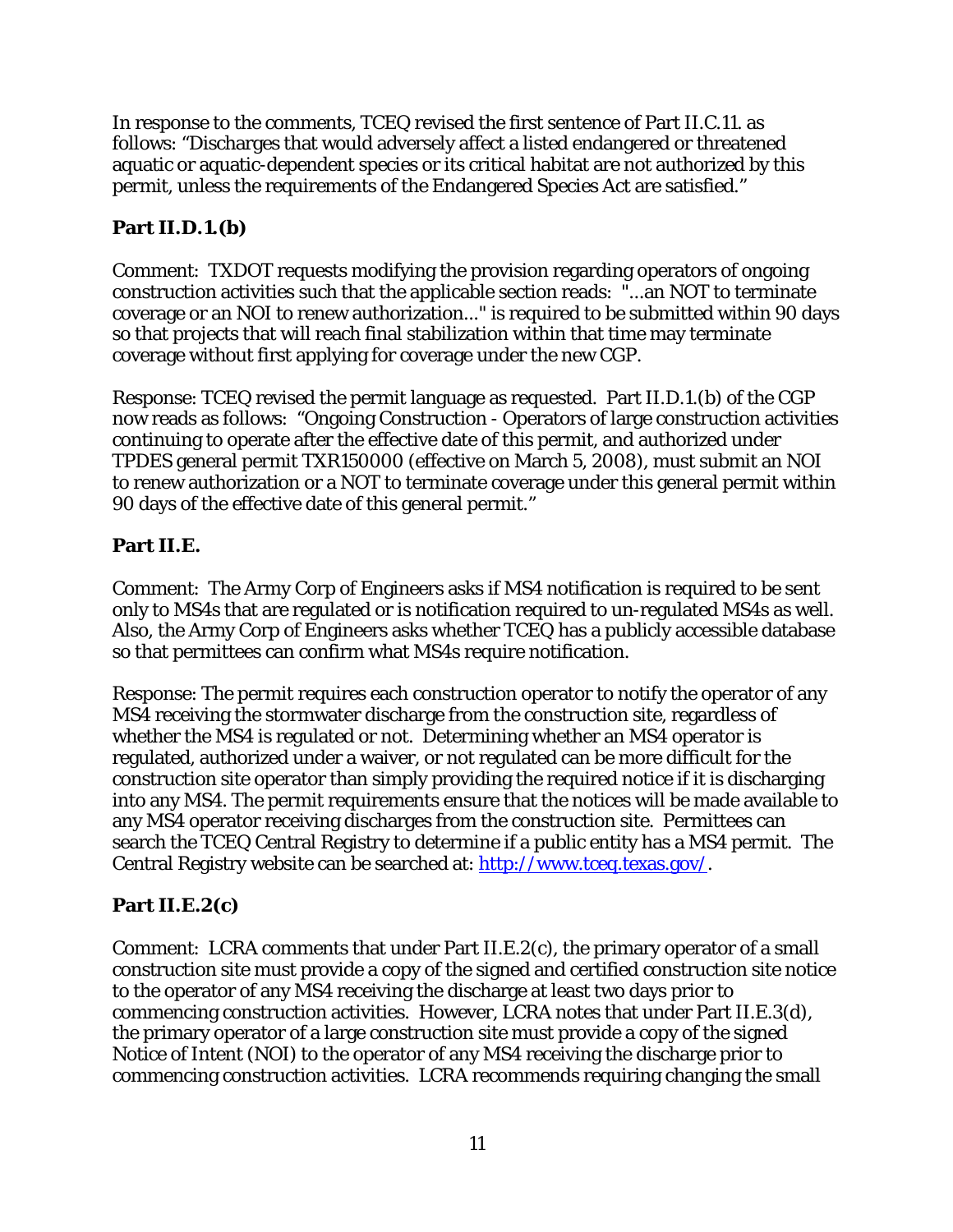In response to the comments, TCEQ revised the first sentence of Part II.C.11. as follows: "Discharges that would adversely affect a listed endangered or threatened aquatic or aquatic-dependent species or its critical habitat are not authorized by this permit, unless the requirements of the Endangered Species Act are satisfied."

## **Part II.D.1.(b)**

Comment: TXDOT requests modifying the provision regarding operators of ongoing construction activities such that the applicable section reads: "...an NOT to terminate coverage or an NOI to renew authorization..." is required to be submitted within 90 days so that projects that will reach final stabilization within that time may terminate coverage without first applying for coverage under the new CGP.

Response: TCEQ revised the permit language as requested. Part II.D.1.(b) of the CGP now reads as follows: "Ongoing Construction - Operators of large construction activities continuing to operate after the effective date of this permit, and authorized under TPDES general permit TXR150000 (effective on March 5, 2008), must submit an NOI to renew authorization or a NOT to terminate coverage under this general permit within 90 days of the effective date of this general permit."

#### **Part II.E.**

Comment: The Army Corp of Engineers asks if MS4 notification is required to be sent only to MS4s that are regulated or is notification required to un-regulated MS4s as well. Also, the Army Corp of Engineers asks whether TCEQ has a publicly accessible database so that permittees can confirm what MS4s require notification.

Response: The permit requires each construction operator to notify the operator of any MS4 receiving the stormwater discharge from the construction site, regardless of whether the MS4 is regulated or not. Determining whether an MS4 operator is regulated, authorized under a waiver, or not regulated can be more difficult for the construction site operator than simply providing the required notice if it is discharging into any MS4. The permit requirements ensure that the notices will be made available to any MS4 operator receiving discharges from the construction site. Permittees can search the TCEQ Central Registry to determine if a public entity has a MS4 permit. The Central Registry website can be searched at: [http://www.tceq.texas.gov/.](http://www.tceq.texas.gov/)

#### **Part II.E.2(c)**

Comment: LCRA comments that under Part II.E.2(c), the primary operator of a small construction site must provide a copy of the signed and certified construction site notice to the operator of any MS4 receiving the discharge at least two days prior to commencing construction activities. However, LCRA notes that under Part II.E.3(d), the primary operator of a large construction site must provide a copy of the signed Notice of Intent (NOI) to the operator of any MS4 receiving the discharge prior to commencing construction activities. LCRA recommends requiring changing the small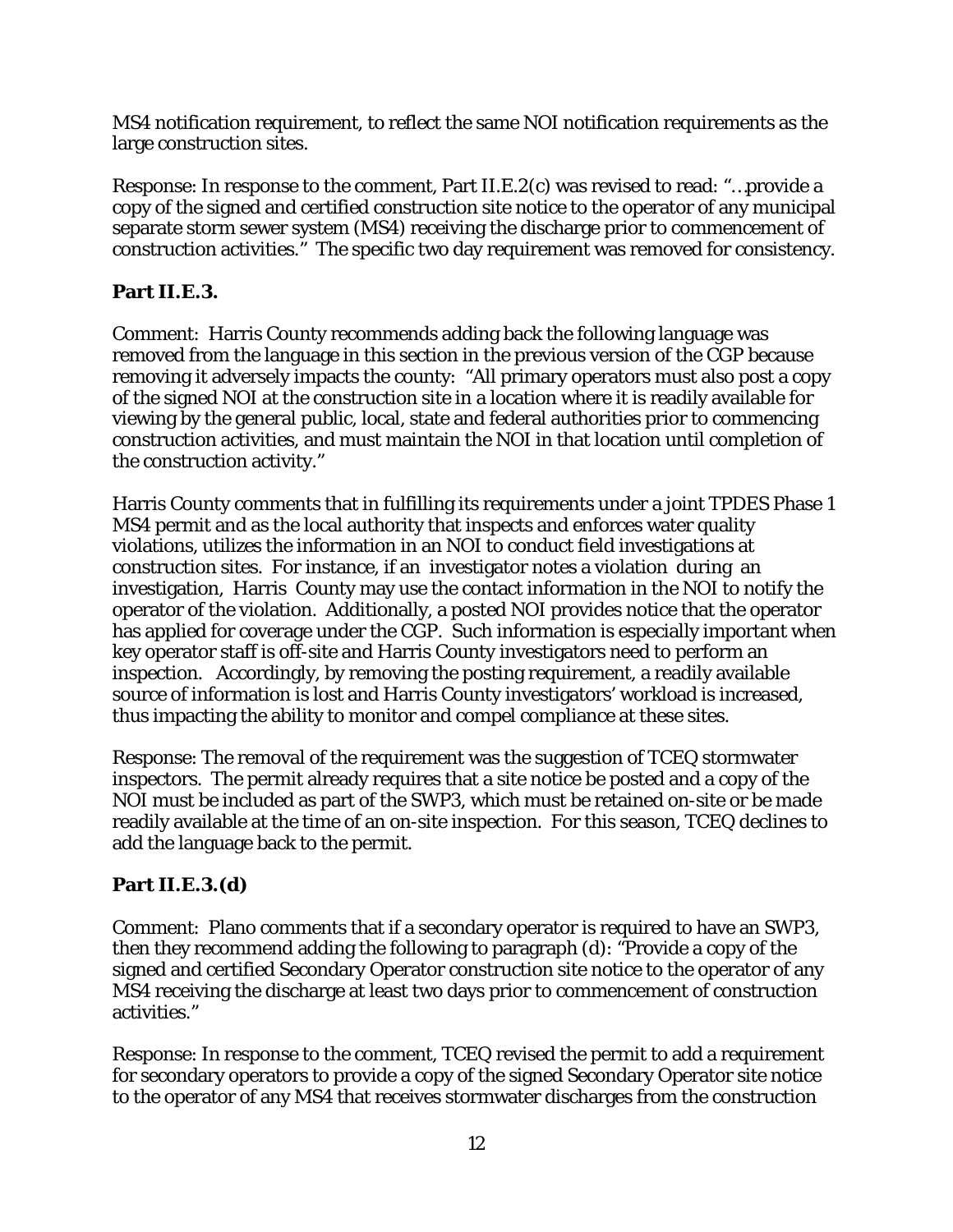MS4 notification requirement, to reflect the same NOI notification requirements as the large construction sites.

Response: In response to the comment, Part II.E.2(c) was revised to read: "…provide a copy of the signed and certified construction site notice to the operator of any municipal separate storm sewer system (MS4) receiving the discharge prior to commencement of construction activities." The specific two day requirement was removed for consistency.

#### **Part II.E.3.**

Comment: Harris County recommends adding back the following language was removed from the language in this section in the previous version of the CGP because removing it adversely impacts the county: "All primary operators must also post a copy of the signed NOI at the construction site in a location where it is readily available for viewing by the general public, local, state and federal authorities prior to commencing construction activities, and must maintain the NOI in that location until completion of the construction activity."

Harris County comments that in fulfilling its requirements under a joint TPDES Phase 1 MS4 permit and as the local authority that inspects and enforces water quality violations, utilizes the information in an NOI to conduct field investigations at construction sites. For instance, if an investigator notes a violation during an investigation, Harris County may use the contact information in the NOI to notify the operator of the violation. Additionally, a posted NOI provides notice that the operator has applied for coverage under the CGP. Such information is especially important when key operator staff is off-site and Harris County investigators need to perform an inspection. Accordingly, by removing the posting requirement, a readily available source of information is lost and Harris County investigators' workload is increased, thus impacting the ability to monitor and compel compliance at these sites.

Response: The removal of the requirement was the suggestion of TCEQ stormwater inspectors. The permit already requires that a site notice be posted and a copy of the NOI must be included as part of the SWP3, which must be retained on-site or be made readily available at the time of an on-site inspection. For this season, TCEQ declines to add the language back to the permit.

## **Part II.E.3.(d)**

Comment: Plano comments that if a secondary operator is required to have an SWP3, then they recommend adding the following to paragraph (d): "Provide a copy of the signed and certified Secondary Operator construction site notice to the operator of any MS4 receiving the discharge at least two days prior to commencement of construction activities."

Response: In response to the comment, TCEQ revised the permit to add a requirement for secondary operators to provide a copy of the signed Secondary Operator site notice to the operator of any MS4 that receives stormwater discharges from the construction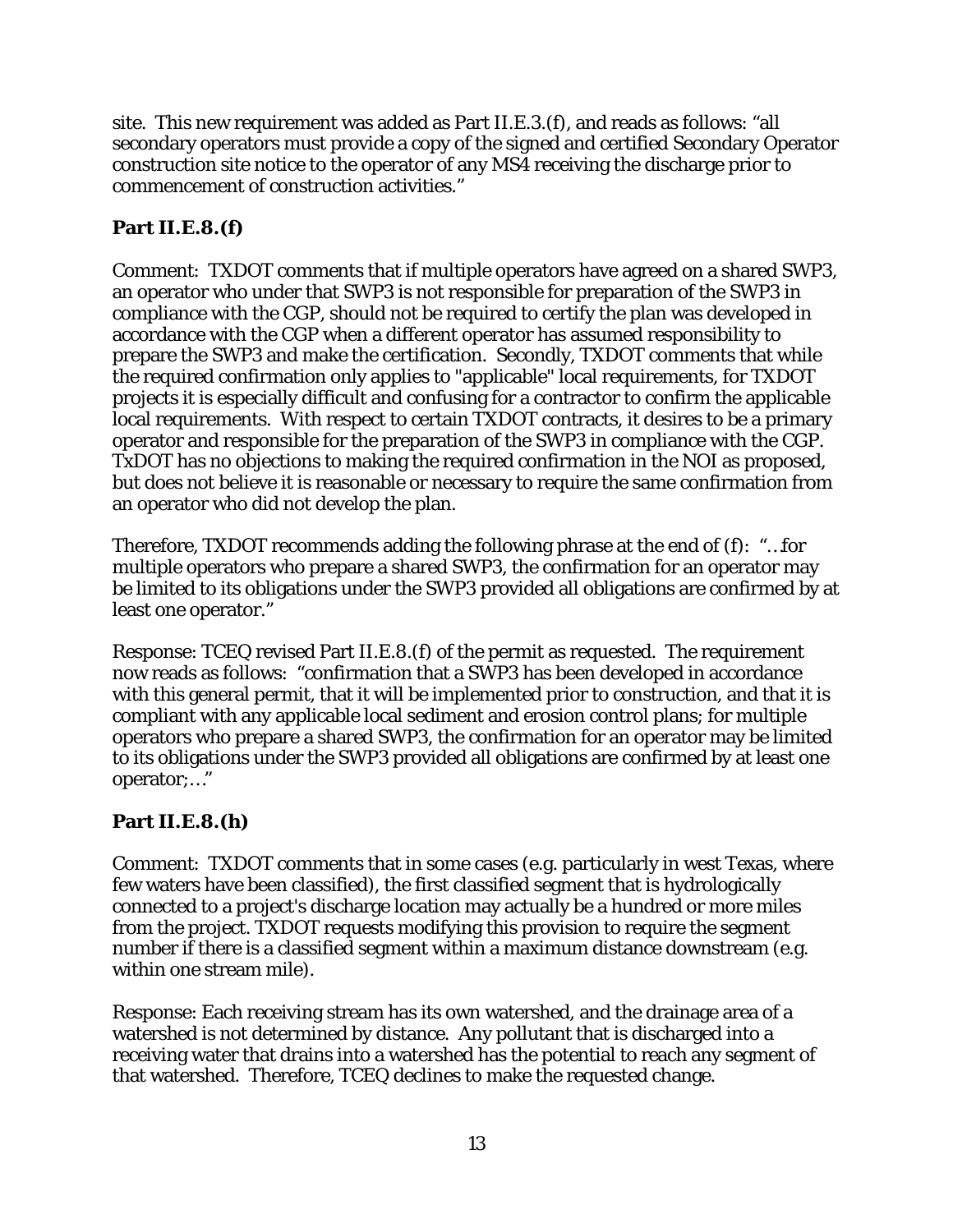site. This new requirement was added as Part II.E.3.(f), and reads as follows: "all secondary operators must provide a copy of the signed and certified Secondary Operator construction site notice to the operator of any MS4 receiving the discharge prior to commencement of construction activities."

## **Part II.E.8.(f)**

Comment: TXDOT comments that if multiple operators have agreed on a shared SWP3, an operator who under that SWP3 is not responsible for preparation of the SWP3 in compliance with the CGP, should not be required to certify the plan was developed in accordance with the CGP when a different operator has assumed responsibility to prepare the SWP3 and make the certification. Secondly, TXDOT comments that while the required confirmation only applies to "applicable" local requirements, for TXDOT projects it is especially difficult and confusing for a contractor to confirm the applicable local requirements. With respect to certain TXDOT contracts, it desires to be a primary operator and responsible for the preparation of the SWP3 in compliance with the CGP. TxDOT has no objections to making the required confirmation in the NOI as proposed, but does not believe it is reasonable or necessary to require the same confirmation from an operator who did not develop the plan.

Therefore, TXDOT recommends adding the following phrase at the end of (f): "…for multiple operators who prepare a shared SWP3, the confirmation for an operator may be limited to its obligations under the SWP3 provided all obligations are confirmed by at least one operator."

Response: TCEQ revised Part II.E.8.(f) of the permit as requested. The requirement now reads as follows: "confirmation that a SWP3 has been developed in accordance with this general permit, that it will be implemented prior to construction, and that it is compliant with any applicable local sediment and erosion control plans; for multiple operators who prepare a shared SWP3, the confirmation for an operator may be limited to its obligations under the SWP3 provided all obligations are confirmed by at least one operator;…"

## **Part II.E.8.(h)**

Comment: TXDOT comments that in some cases (e.g. particularly in west Texas, where few waters have been classified), the first classified segment that is hydrologically connected to a project's discharge location may actually be a hundred or more miles from the project. TXDOT requests modifying this provision to require the segment number if there is a classified segment within a maximum distance downstream (e.g. within one stream mile).

Response: Each receiving stream has its own watershed, and the drainage area of a watershed is not determined by distance. Any pollutant that is discharged into a receiving water that drains into a watershed has the potential to reach any segment of that watershed. Therefore, TCEQ declines to make the requested change.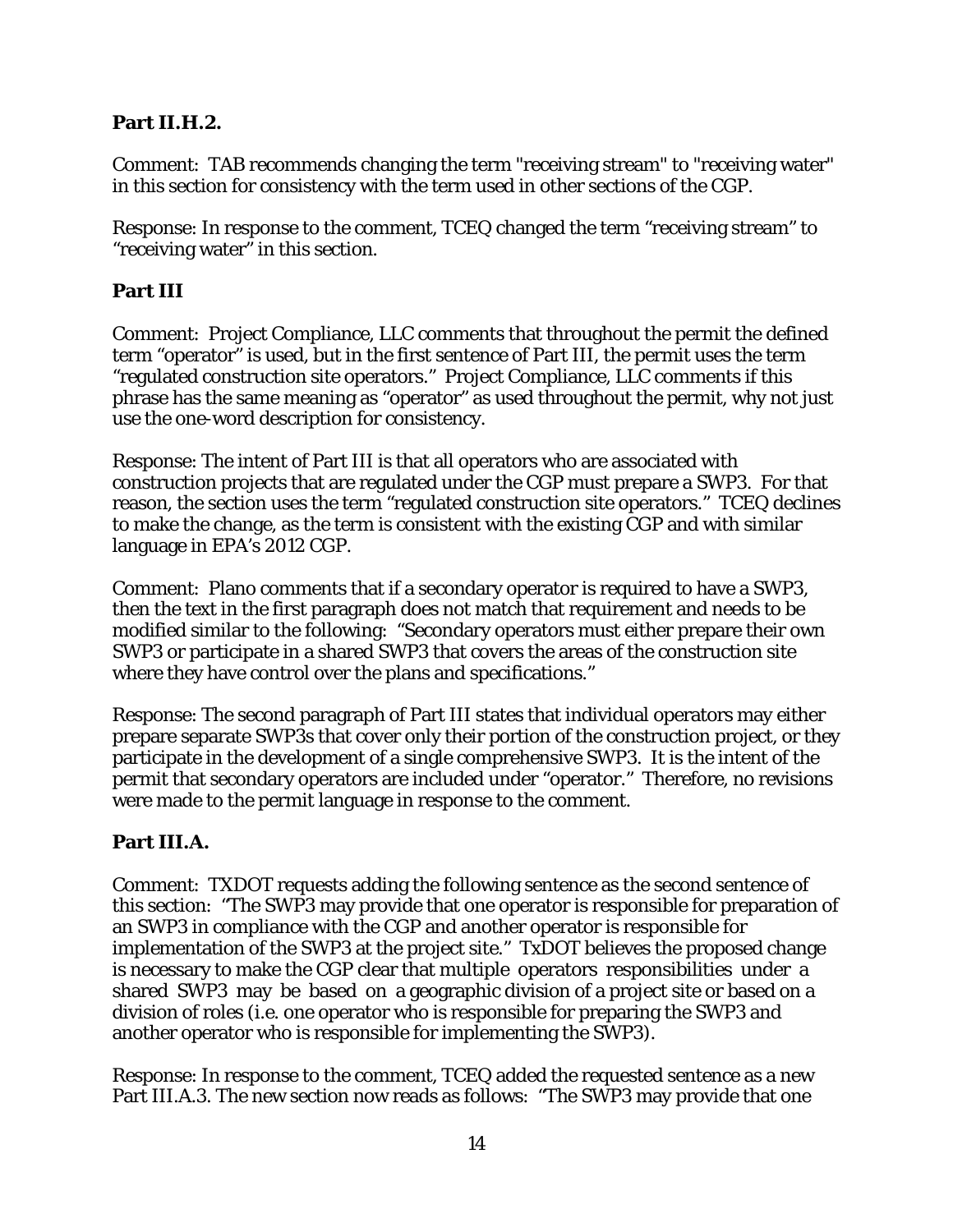#### **Part II.H.2.**

Comment: TAB recommends changing the term "receiving stream" to "receiving water" in this section for consistency with the term used in other sections of the CGP.

Response: In response to the comment, TCEQ changed the term "receiving stream" to "receiving water" in this section.

#### **Part III**

Comment: Project Compliance, LLC comments that throughout the permit the defined term "operator" is used, but in the first sentence of Part III, the permit uses the term "regulated construction site operators." Project Compliance, LLC comments if this phrase has the same meaning as "operator" as used throughout the permit, why not just use the one-word description for consistency.

Response: The intent of Part III is that all operators who are associated with construction projects that are regulated under the CGP must prepare a SWP3. For that reason, the section uses the term "regulated construction site operators." TCEQ declines to make the change, as the term is consistent with the existing CGP and with similar language in EPA's 2012 CGP.

Comment: Plano comments that if a secondary operator is required to have a SWP3, then the text in the first paragraph does not match that requirement and needs to be modified similar to the following: "Secondary operators must either prepare their own SWP3 or participate in a shared SWP3 that covers the areas of the construction site where they have control over the plans and specifications."

Response: The second paragraph of Part III states that individual operators may either prepare separate SWP3s that cover only their portion of the construction project, or they participate in the development of a single comprehensive SWP3. It is the intent of the permit that secondary operators are included under "operator." Therefore, no revisions were made to the permit language in response to the comment.

## **Part III.A.**

Comment: TXDOT requests adding the following sentence as the second sentence of this section: "The SWP3 may provide that one operator is responsible for preparation of an SWP3 in compliance with the CGP and another operator is responsible for implementation of the SWP3 at the project site." TxDOT believes the proposed change is necessary to make the CGP clear that multiple operators responsibilities under a shared SWP3 may be based on a geographic division of a project site or based on a division of roles (i.e. one operator who is responsible for preparing the SWP3 and another operator who is responsible for implementing the SWP3).

Response: In response to the comment, TCEQ added the requested sentence as a new Part III.A.3. The new section now reads as follows: "The SWP3 may provide that one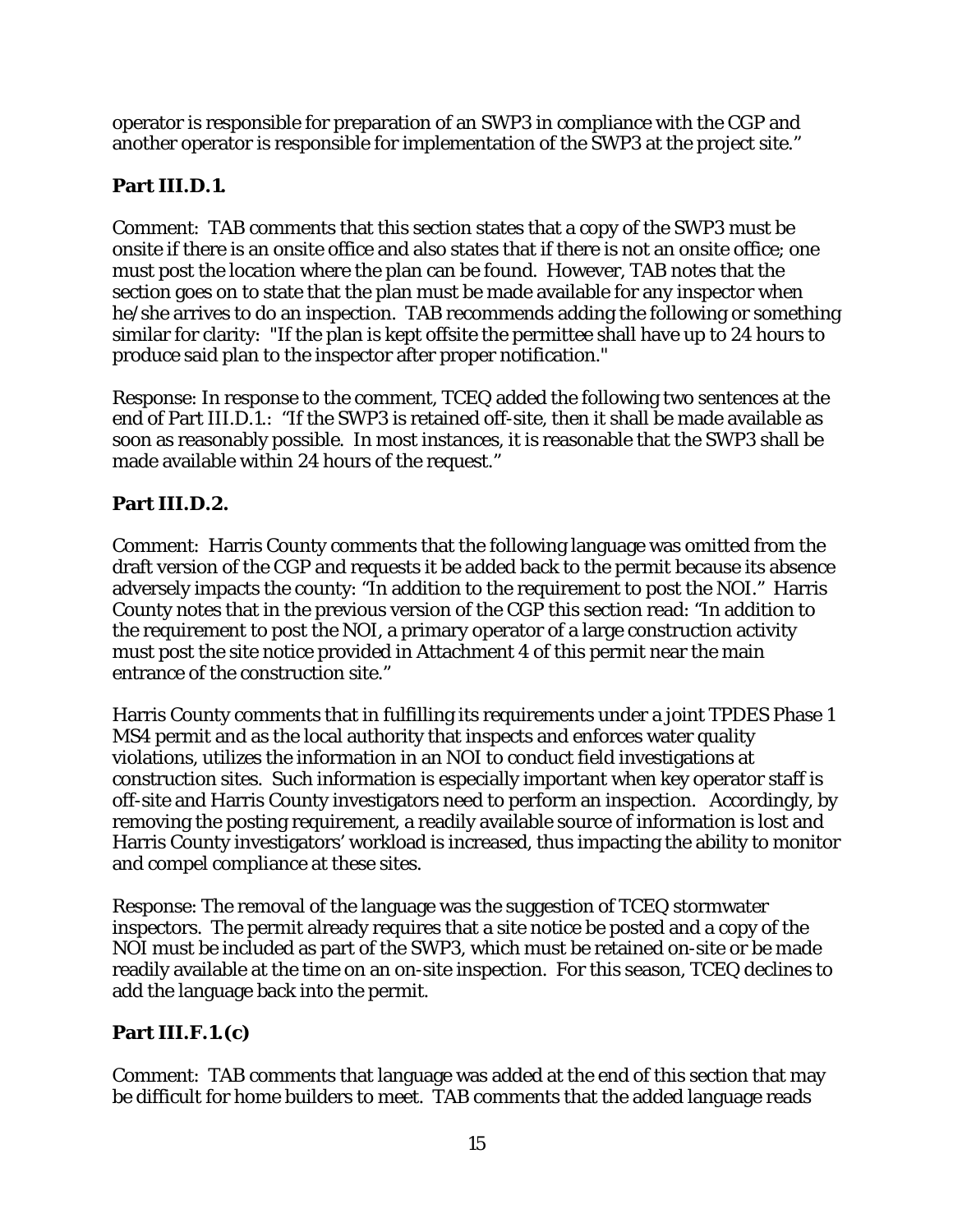operator is responsible for preparation of an SWP3 in compliance with the CGP and another operator is responsible for implementation of the SWP3 at the project site."

## **Part III.D.1.**

Comment: TAB comments that this section states that a copy of the SWP3 must be onsite if there is an onsite office and also states that if there is not an onsite office; one must post the location where the plan can be found. However, TAB notes that the section goes on to state that the plan must be made available for any inspector when he/she arrives to do an inspection. TAB recommends adding the following or something similar for clarity: "If the plan is kept offsite the permittee shall have up to 24 hours to produce said plan to the inspector after proper notification."

Response: In response to the comment, TCEQ added the following two sentences at the end of Part III.D.1.: "If the SWP3 is retained off-site, then it shall be made available as soon as reasonably possible. In most instances, it is reasonable that the SWP3 shall be made available within 24 hours of the request."

## **Part III.D.2.**

Comment: Harris County comments that the following language was omitted from the draft version of the CGP and requests it be added back to the permit because its absence adversely impacts the county: "In addition to the requirement to post the NOI." Harris County notes that in the previous version of the CGP this section read: "In addition to the requirement to post the NOI, a primary operator of a large construction activity must post the site notice provided in Attachment 4 of this permit near the main entrance of the construction site."

Harris County comments that in fulfilling its requirements under a joint TPDES Phase 1 MS4 permit and as the local authority that inspects and enforces water quality violations, utilizes the information in an NOI to conduct field investigations at construction sites. Such information is especially important when key operator staff is off-site and Harris County investigators need to perform an inspection. Accordingly, by removing the posting requirement, a readily available source of information is lost and Harris County investigators' workload is increased, thus impacting the ability to monitor and compel compliance at these sites.

Response: The removal of the language was the suggestion of TCEQ stormwater inspectors. The permit already requires that a site notice be posted and a copy of the NOI must be included as part of the SWP3, which must be retained on-site or be made readily available at the time on an on-site inspection. For this season, TCEQ declines to add the language back into the permit.

## **Part III.F.1.(c)**

Comment: TAB comments that language was added at the end of this section that may be difficult for home builders to meet. TAB comments that the added language reads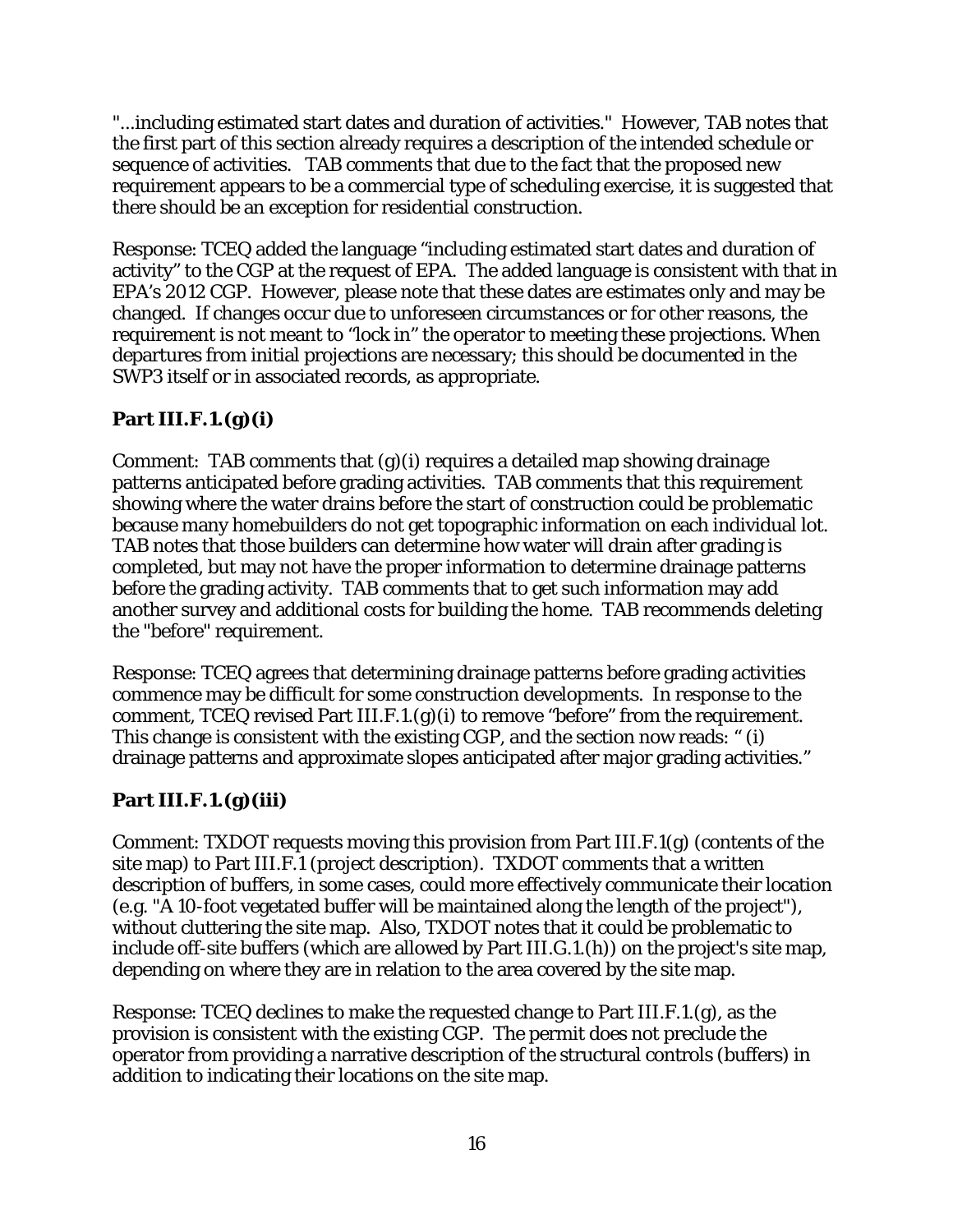"...including estimated start dates and duration of activities." However, TAB notes that the first part of this section already requires a description of the intended schedule or sequence of activities. TAB comments that due to the fact that the proposed new requirement appears to be a commercial type of scheduling exercise, it is suggested that there should be an exception for residential construction.

Response: TCEQ added the language "including estimated start dates and duration of activity" to the CGP at the request of EPA. The added language is consistent with that in EPA's 2012 CGP. However, please note that these dates are estimates only and may be changed. If changes occur due to unforeseen circumstances or for other reasons, the requirement is not meant to "lock in" the operator to meeting these projections. When departures from initial projections are necessary; this should be documented in the SWP3 itself or in associated records, as appropriate.

## **Part III.F.1.(g)(i)**

Comment: TAB comments that (g)(i) requires a detailed map showing drainage patterns anticipated before grading activities. TAB comments that this requirement showing where the water drains before the start of construction could be problematic because many homebuilders do not get topographic information on each individual lot. TAB notes that those builders can determine how water will drain after grading is completed, but may not have the proper information to determine drainage patterns before the grading activity. TAB comments that to get such information may add another survey and additional costs for building the home. TAB recommends deleting the "before" requirement.

Response: TCEQ agrees that determining drainage patterns before grading activities commence may be difficult for some construction developments. In response to the comment, TCEQ revised Part III.F.1. $(g)(i)$  to remove "before" from the requirement. This change is consistent with the existing CGP, and the section now reads: " (i) drainage patterns and approximate slopes anticipated after major grading activities."

# **Part III.F.1.(g)(iii)**

Comment: TXDOT requests moving this provision from Part III.F.1(g) (contents of the site map) to Part III.F.1 (project description). TXDOT comments that a written description of buffers, in some cases, could more effectively communicate their location (e.g. "A 10-foot vegetated buffer will be maintained along the length of the project"), without cluttering the site map. Also, TXDOT notes that it could be problematic to include off-site buffers (which are allowed by Part III.G.1.(h)) on the project's site map, depending on where they are in relation to the area covered by the site map.

Response: TCEQ declines to make the requested change to Part III.F.1.(g), as the provision is consistent with the existing CGP. The permit does not preclude the operator from providing a narrative description of the structural controls (buffers) in addition to indicating their locations on the site map.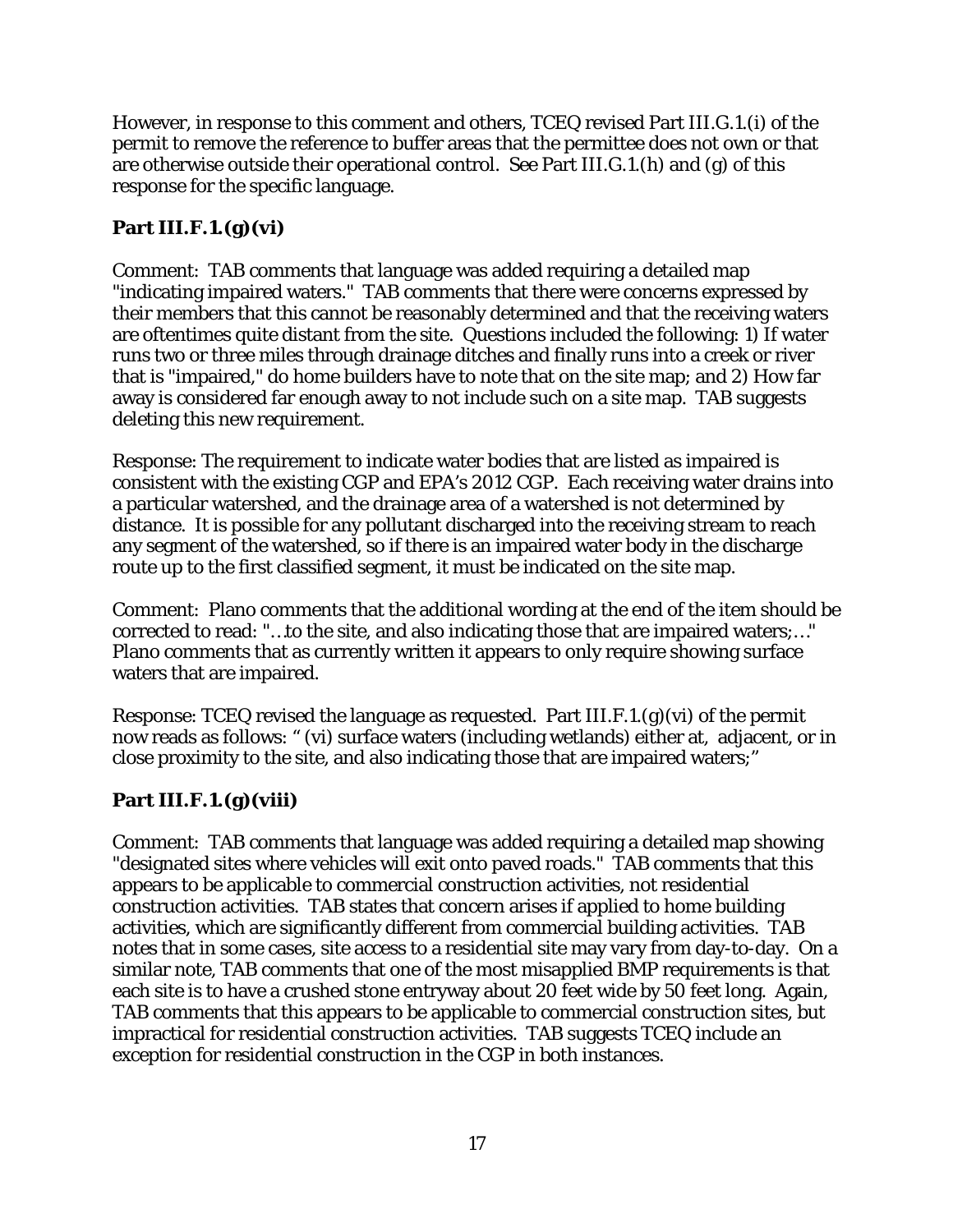However, in response to this comment and others, TCEQ revised Part III.G.1.(i) of the permit to remove the reference to buffer areas that the permittee does not own or that are otherwise outside their operational control. See Part III.G.1.(h) and (g) of this response for the specific language.

# **Part III.F.1.(g)(vi)**

Comment: TAB comments that language was added requiring a detailed map "indicating impaired waters." TAB comments that there were concerns expressed by their members that this cannot be reasonably determined and that the receiving waters are oftentimes quite distant from the site. Questions included the following: 1) If water runs two or three miles through drainage ditches and finally runs into a creek or river that is "impaired," do home builders have to note that on the site map; and 2) How far away is considered far enough away to not include such on a site map. TAB suggests deleting this new requirement.

Response: The requirement to indicate water bodies that are listed as impaired is consistent with the existing CGP and EPA's 2012 CGP. Each receiving water drains into a particular watershed, and the drainage area of a watershed is not determined by distance. It is possible for any pollutant discharged into the receiving stream to reach any segment of the watershed, so if there is an impaired water body in the discharge route up to the first classified segment, it must be indicated on the site map.

Comment: Plano comments that the additional wording at the end of the item should be corrected to read: "…to the site, and also indicating those that are impaired waters;…" Plano comments that as currently written it appears to only require showing surface waters that are impaired.

Response: TCEQ revised the language as requested. Part III.F.1.(g)(vi) of the permit now reads as follows: " (vi) surface waters (including wetlands) either at, adjacent, or in close proximity to the site, and also indicating those that are impaired waters;"

## **Part III.F.1.(g)(viii)**

Comment: TAB comments that language was added requiring a detailed map showing "designated sites where vehicles will exit onto paved roads." TAB comments that this appears to be applicable to commercial construction activities, not residential construction activities. TAB states that concern arises if applied to home building activities, which are significantly different from commercial building activities. TAB notes that in some cases, site access to a residential site may vary from day-to-day. On a similar note, TAB comments that one of the most misapplied BMP requirements is that each site is to have a crushed stone entryway about 20 feet wide by 50 feet long. Again, TAB comments that this appears to be applicable to commercial construction sites, but impractical for residential construction activities. TAB suggests TCEQ include an exception for residential construction in the CGP in both instances.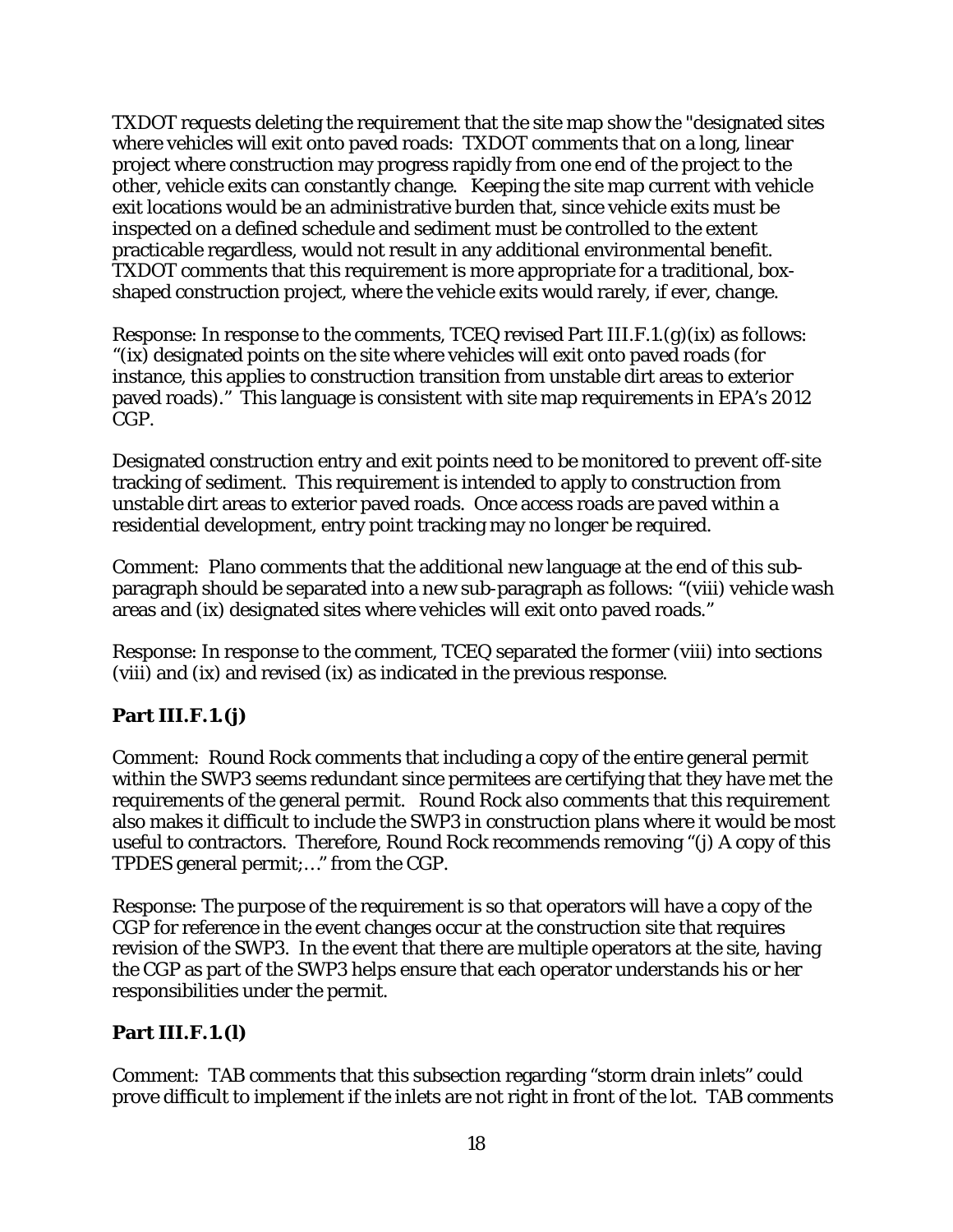TXDOT requests deleting the requirement that the site map show the "designated sites where vehicles will exit onto paved roads: TXDOT comments that on a long, linear project where construction may progress rapidly from one end of the project to the other, vehicle exits can constantly change. Keeping the site map current with vehicle exit locations would be an administrative burden that, since vehicle exits must be inspected on a defined schedule and sediment must be controlled to the extent practicable regardless, would not result in any additional environmental benefit. TXDOT comments that this requirement is more appropriate for a traditional, boxshaped construction project, where the vehicle exits would rarely, if ever, change.

Response: In response to the comments, TCEQ revised Part III.F.1.(g)(ix) as follows: "(ix) designated points on the site where vehicles will exit onto paved roads (for instance, this applies to construction transition from unstable dirt areas to exterior paved roads)." This language is consistent with site map requirements in EPA's 2012 CGP.

Designated construction entry and exit points need to be monitored to prevent off-site tracking of sediment. This requirement is intended to apply to construction from unstable dirt areas to exterior paved roads. Once access roads are paved within a residential development, entry point tracking may no longer be required.

Comment: Plano comments that the additional new language at the end of this subparagraph should be separated into a new sub-paragraph as follows: "(viii) vehicle wash areas and (ix) designated sites where vehicles will exit onto paved roads."

Response: In response to the comment, TCEQ separated the former (viii) into sections (viii) and (ix) and revised (ix) as indicated in the previous response.

## **Part III.F.1.(j)**

Comment: Round Rock comments that including a copy of the entire general permit within the SWP3 seems redundant since permitees are certifying that they have met the requirements of the general permit. Round Rock also comments that this requirement also makes it difficult to include the SWP3 in construction plans where it would be most useful to contractors. Therefore, Round Rock recommends removing "(j) A copy of this TPDES general permit;…" from the CGP.

Response: The purpose of the requirement is so that operators will have a copy of the CGP for reference in the event changes occur at the construction site that requires revision of the SWP3. In the event that there are multiple operators at the site, having the CGP as part of the SWP3 helps ensure that each operator understands his or her responsibilities under the permit.

#### **Part III.F.1.(l)**

Comment: TAB comments that this subsection regarding "storm drain inlets" could prove difficult to implement if the inlets are not right in front of the lot. TAB comments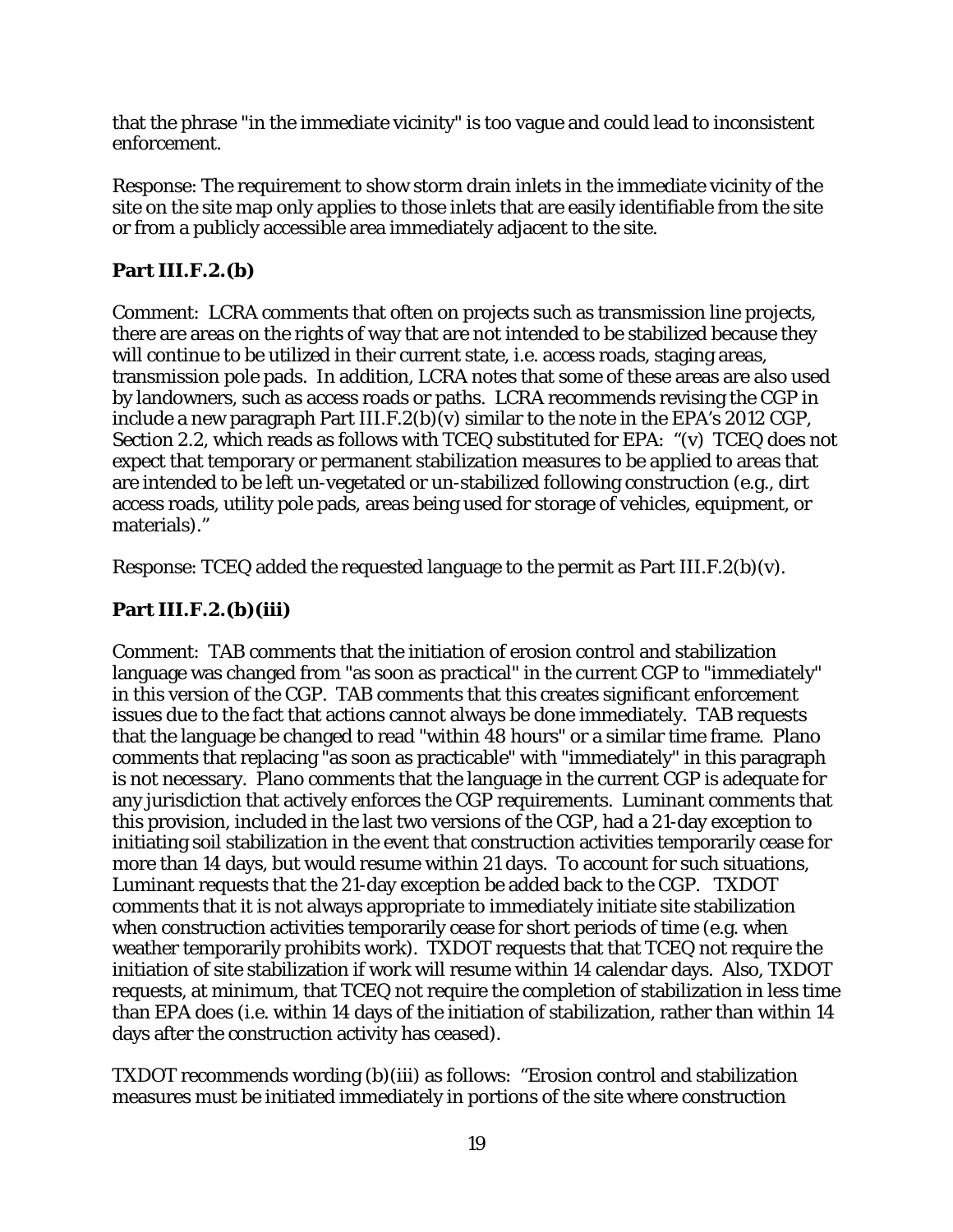that the phrase "in the immediate vicinity" is too vague and could lead to inconsistent enforcement.

Response: The requirement to show storm drain inlets in the immediate vicinity of the site on the site map only applies to those inlets that are easily identifiable from the site or from a publicly accessible area immediately adjacent to the site.

#### **Part III.F.2.(b)**

Comment: LCRA comments that often on projects such as transmission line projects, there are areas on the rights of way that are not intended to be stabilized because they will continue to be utilized in their current state, i.e. access roads, staging areas, transmission pole pads. In addition, LCRA notes that some of these areas are also used by landowners, such as access roads or paths. LCRA recommends revising the CGP in include a new paragraph Part III.F.2(b)(v) similar to the note in the EPA's 2012 CGP, Section 2.2, which reads as follows with TCEQ substituted for EPA: "(v) TCEQ does not expect that temporary or permanent stabilization measures to be applied to areas that are intended to be left un-vegetated or un-stabilized following construction (e.g., dirt access roads, utility pole pads, areas being used for storage of vehicles, equipment, or materials)."

Response: TCEQ added the requested language to the permit as Part III.F.2(b)(v).

## **Part III.F.2.(b)(iii)**

Comment: TAB comments that the initiation of erosion control and stabilization language was changed from "as soon as practical" in the current CGP to "immediately" in this version of the CGP. TAB comments that this creates significant enforcement issues due to the fact that actions cannot always be done immediately. TAB requests that the language be changed to read "within 48 hours" or a similar time frame. Plano comments that replacing "as soon as practicable" with "immediately" in this paragraph is not necessary. Plano comments that the language in the current CGP is adequate for any jurisdiction that actively enforces the CGP requirements. Luminant comments that this provision, included in the last two versions of the CGP, had a 21-day exception to initiating soil stabilization in the event that construction activities temporarily cease for more than 14 days, but would resume within 21 days. To account for such situations, Luminant requests that the 21-day exception be added back to the CGP. TXDOT comments that it is not always appropriate to immediately initiate site stabilization when construction activities temporarily cease for short periods of time (e.g. when weather temporarily prohibits work). TXDOT requests that that TCEQ not require the initiation of site stabilization if work will resume within 14 calendar days. Also, TXDOT requests, at minimum, that TCEQ not require the completion of stabilization in less time than EPA does (i.e. within 14 days of the initiation of stabilization, rather than within 14 days after the construction activity has ceased).

TXDOT recommends wording (b)(iii) as follows: "Erosion control and stabilization measures must be initiated immediately in portions of the site where construction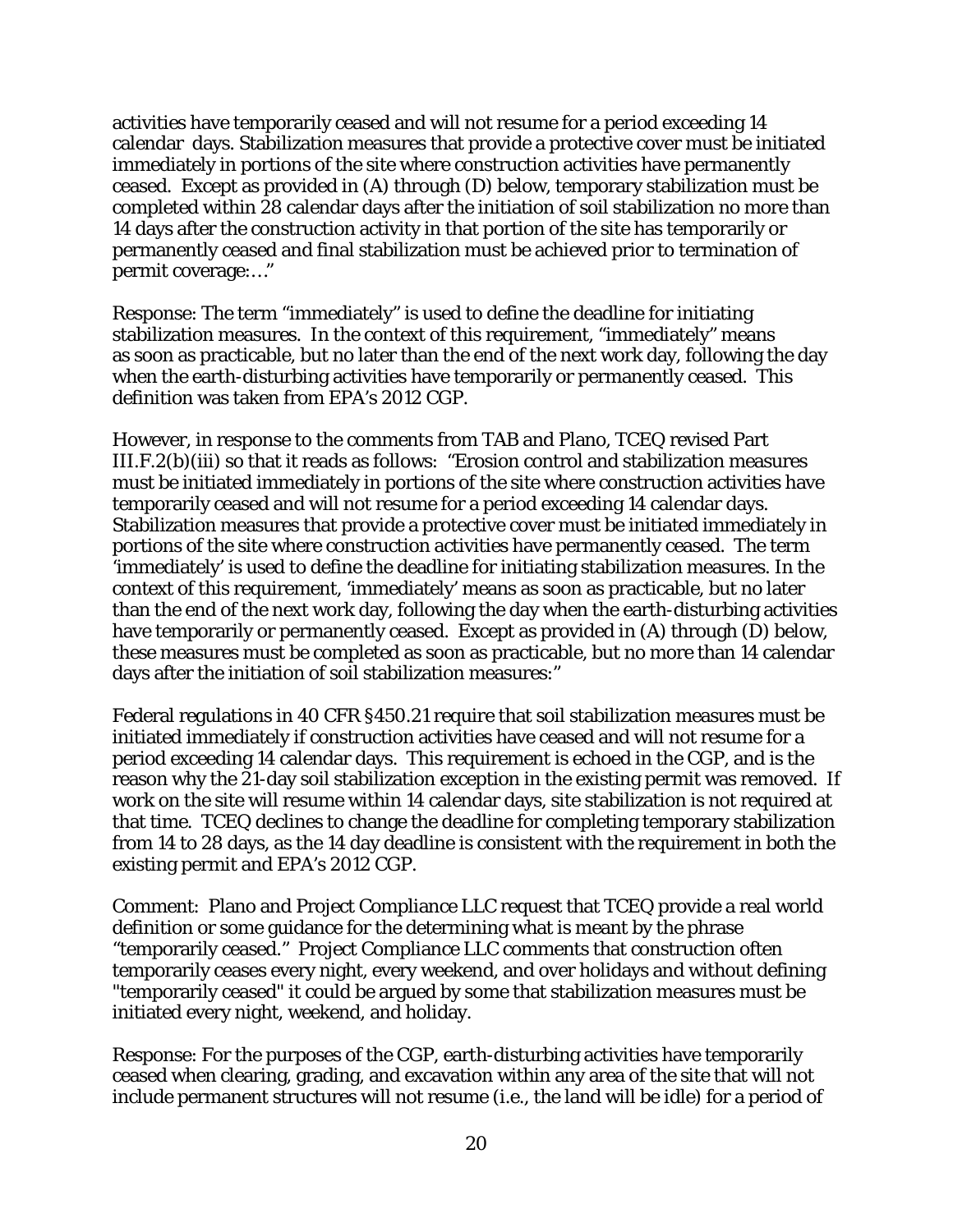activities have temporarily ceased and will not resume for a period exceeding 14 calendar days. Stabilization measures that provide a protective cover must be initiated immediately in portions of the site where construction activities have permanently ceased. Except as provided in (A) through (D) below, temporary stabilization must be completed within 28 calendar days after the initiation of soil stabilization no more than 14 days after the construction activity in that portion of the site has temporarily or permanently ceased and final stabilization must be achieved prior to termination of permit coverage:…"

Response: The term "immediately" is used to define the deadline for initiating stabilization measures. In the context of this requirement, "immediately" means as soon as practicable, but no later than the end of the next work day, following the day when the earth-disturbing activities have temporarily or permanently ceased. This definition was taken from EPA's 2012 CGP.

However, in response to the comments from TAB and Plano, TCEQ revised Part III.F.2(b)(iii) so that it reads as follows: "Erosion control and stabilization measures must be initiated immediately in portions of the site where construction activities have temporarily ceased and will not resume for a period exceeding 14 calendar days. Stabilization measures that provide a protective cover must be initiated immediately in portions of the site where construction activities have permanently ceased. The term 'immediately' is used to define the deadline for initiating stabilization measures. In the context of this requirement, 'immediately' means as soon as practicable, but no later than the end of the next work day, following the day when the earth-disturbing activities have temporarily or permanently ceased. Except as provided in (A) through (D) below, these measures must be completed as soon as practicable, but no more than 14 calendar days after the initiation of soil stabilization measures:"

Federal regulations in 40 CFR §450.21 require that soil stabilization measures must be initiated immediately if construction activities have ceased and will not resume for a period exceeding 14 calendar days. This requirement is echoed in the CGP, and is the reason why the 21-day soil stabilization exception in the existing permit was removed. If work on the site will resume within 14 calendar days, site stabilization is not required at that time. TCEQ declines to change the deadline for completing temporary stabilization from 14 to 28 days, as the 14 day deadline is consistent with the requirement in both the existing permit and EPA's 2012 CGP.

Comment: Plano and Project Compliance LLC request that TCEQ provide a real world definition or some guidance for the determining what is meant by the phrase "temporarily ceased." Project Compliance LLC comments that construction often temporarily ceases every night, every weekend, and over holidays and without defining "temporarily ceased" it could be argued by some that stabilization measures must be initiated every night, weekend, and holiday.

Response: For the purposes of the CGP, earth-disturbing activities have temporarily ceased when clearing, grading, and excavation within any area of the site that will not include permanent structures will not resume (i.e., the land will be idle) for a period of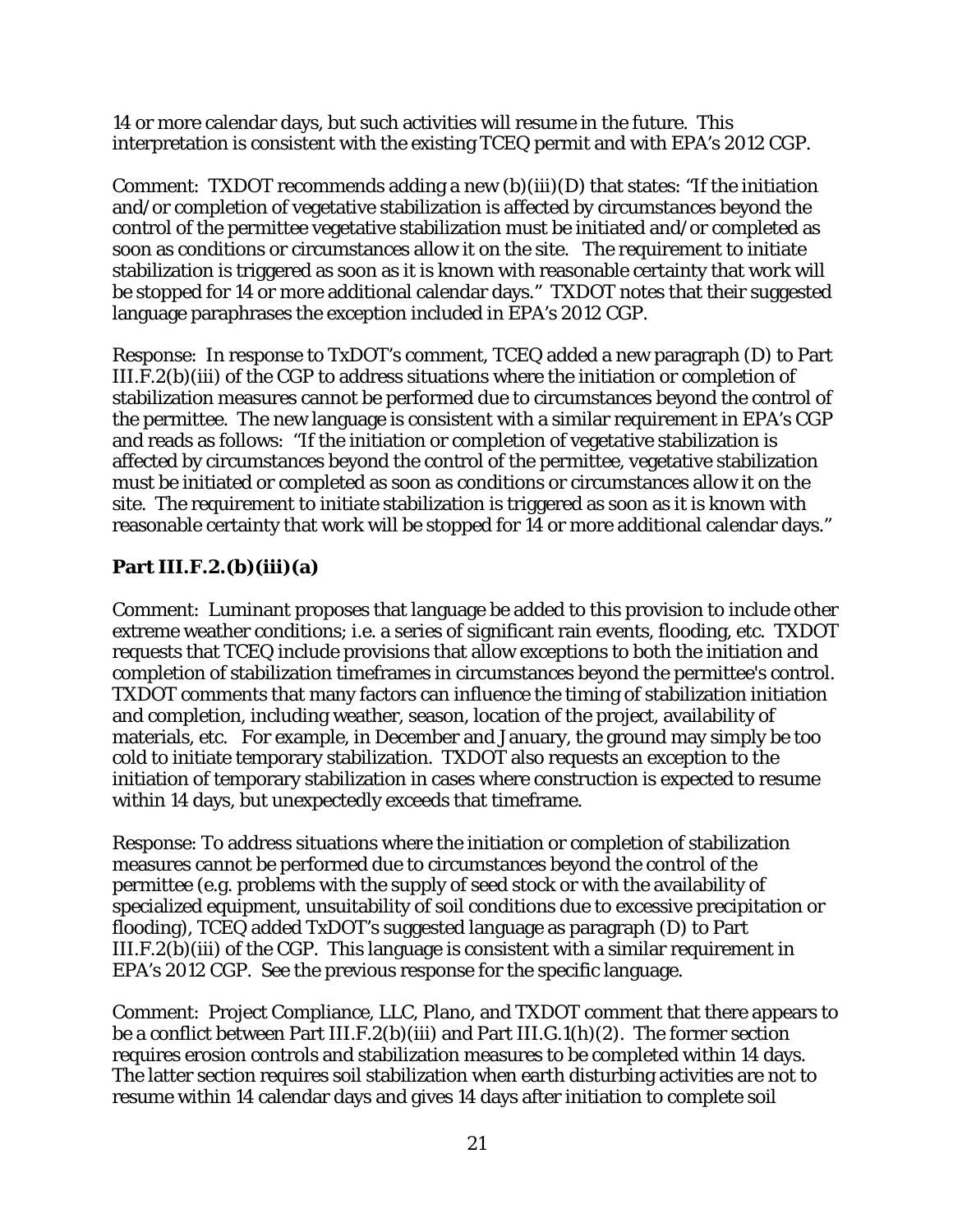14 or more calendar days, but such activities will resume in the future. This interpretation is consistent with the existing TCEQ permit and with EPA's 2012 CGP.

Comment: TXDOT recommends adding a new  $(b)(iii)(D)$  that states: "If the initiation and/or completion of vegetative stabilization is affected by circumstances beyond the control of the permittee vegetative stabilization must be initiated and/or completed as soon as conditions or circumstances allow it on the site. The requirement to initiate stabilization is triggered as soon as it is known with reasonable certainty that work will be stopped for 14 or more additional calendar days." TXDOT notes that their suggested language paraphrases the exception included in EPA's 2012 CGP.

Response: In response to TxDOT's comment, TCEQ added a new paragraph (D) to Part III.F.2(b)(iii) of the CGP to address situations where the initiation or completion of stabilization measures cannot be performed due to circumstances beyond the control of the permittee. The new language is consistent with a similar requirement in EPA's CGP and reads as follows: "If the initiation or completion of vegetative stabilization is affected by circumstances beyond the control of the permittee, vegetative stabilization must be initiated or completed as soon as conditions or circumstances allow it on the site. The requirement to initiate stabilization is triggered as soon as it is known with reasonable certainty that work will be stopped for 14 or more additional calendar days."

## **Part III.F.2.(b)(iii)(a)**

Comment: Luminant proposes that language be added to this provision to include other extreme weather conditions; i.e. a series of significant rain events, flooding, etc. TXDOT requests that TCEQ include provisions that allow exceptions to both the initiation and completion of stabilization timeframes in circumstances beyond the permittee's control. TXDOT comments that many factors can influence the timing of stabilization initiation and completion, including weather, season, location of the project, availability of materials, etc. For example, in December and January, the ground may simply be too cold to initiate temporary stabilization. TXDOT also requests an exception to the initiation of temporary stabilization in cases where construction is expected to resume within 14 days, but unexpectedly exceeds that timeframe.

Response: To address situations where the initiation or completion of stabilization measures cannot be performed due to circumstances beyond the control of the permittee (e.g. problems with the supply of seed stock or with the availability of specialized equipment, unsuitability of soil conditions due to excessive precipitation or flooding), TCEQ added TxDOT's suggested language as paragraph (D) to Part III.F.2(b)(iii) of the CGP. This language is consistent with a similar requirement in EPA's 2012 CGP. See the previous response for the specific language.

Comment: Project Compliance, LLC, Plano, and TXDOT comment that there appears to be a conflict between Part III.F.2(b)(iii) and Part III.G.1(h)(2). The former section requires erosion controls and stabilization measures to be completed within 14 days. The latter section requires soil stabilization when earth disturbing activities are not to resume within 14 calendar days and gives 14 days after initiation to complete soil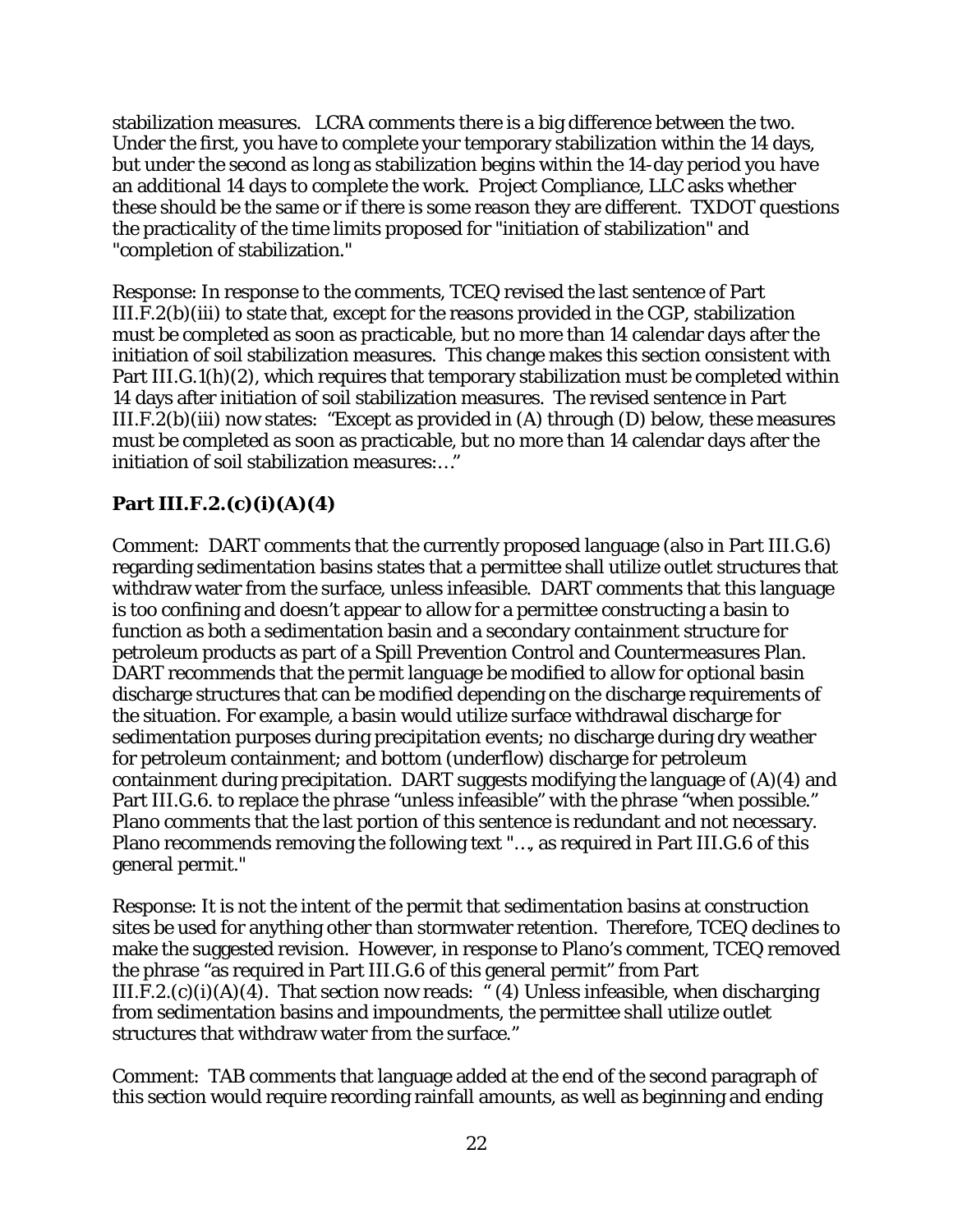stabilization measures. LCRA comments there is a big difference between the two. Under the first, you have to complete your temporary stabilization within the 14 days, but under the second as long as stabilization begins within the 14-day period you have an additional 14 days to complete the work. Project Compliance, LLC asks whether these should be the same or if there is some reason they are different. TXDOT questions the practicality of the time limits proposed for "initiation of stabilization" and "completion of stabilization."

Response: In response to the comments, TCEQ revised the last sentence of Part III.F.2(b)(iii) to state that, except for the reasons provided in the CGP, stabilization must be completed as soon as practicable, but no more than 14 calendar days after the initiation of soil stabilization measures. This change makes this section consistent with Part III.G.1(h)(2), which requires that temporary stabilization must be completed within 14 days after initiation of soil stabilization measures. The revised sentence in Part III.F.2(b)(iii) now states: "Except as provided in (A) through (D) below, these measures must be completed as soon as practicable, but no more than 14 calendar days after the initiation of soil stabilization measures:…"

## **Part III.F.2.(c)(i)(A)(4)**

Comment: DART comments that the currently proposed language (also in Part III.G.6) regarding sedimentation basins states that a permittee shall utilize outlet structures that withdraw water from the surface, unless infeasible. DART comments that this language is too confining and doesn't appear to allow for a permittee constructing a basin to function as both a sedimentation basin and a secondary containment structure for petroleum products as part of a Spill Prevention Control and Countermeasures Plan. DART recommends that the permit language be modified to allow for optional basin discharge structures that can be modified depending on the discharge requirements of the situation. For example, a basin would utilize surface withdrawal discharge for sedimentation purposes during precipitation events; no discharge during dry weather for petroleum containment; and bottom (underflow) discharge for petroleum containment during precipitation. DART suggests modifying the language of (A)(4) and Part III.G.6. to replace the phrase "unless infeasible" with the phrase "when possible." Plano comments that the last portion of this sentence is redundant and not necessary. Plano recommends removing the following text "…, as required in Part III.G.6 of this general permit."

Response: It is not the intent of the permit that sedimentation basins at construction sites be used for anything other than stormwater retention. Therefore, TCEQ declines to make the suggested revision. However, in response to Plano's comment, TCEQ removed the phrase "as required in Part III.G.6 of this general permit" from Part III.F.2.(c)(i)(A)(4). That section now reads: "(4) Unless infeasible, when discharging from sedimentation basins and impoundments, the permittee shall utilize outlet structures that withdraw water from the surface."

Comment: TAB comments that language added at the end of the second paragraph of this section would require recording rainfall amounts, as well as beginning and ending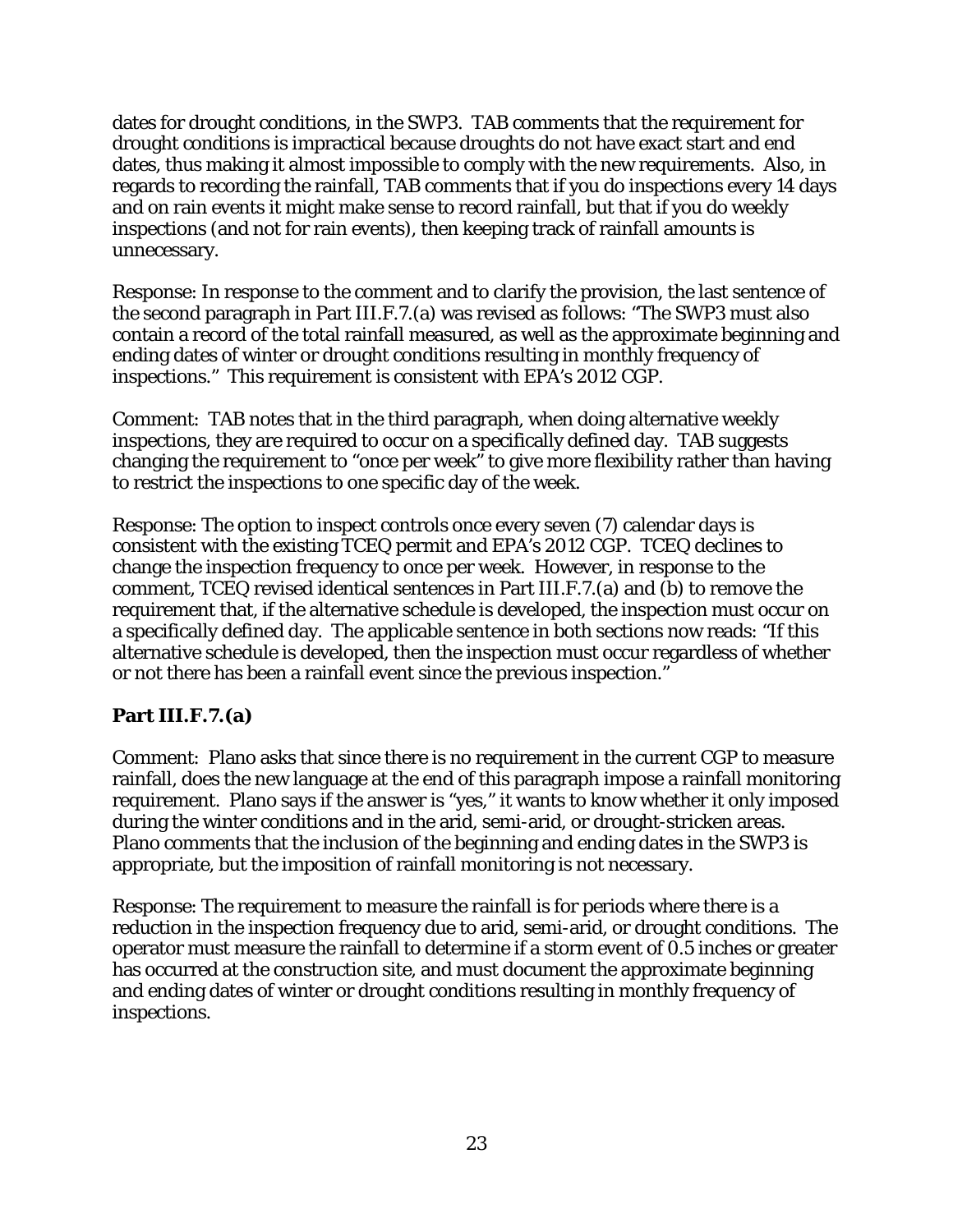dates for drought conditions, in the SWP3. TAB comments that the requirement for drought conditions is impractical because droughts do not have exact start and end dates, thus making it almost impossible to comply with the new requirements. Also, in regards to recording the rainfall, TAB comments that if you do inspections every 14 days and on rain events it might make sense to record rainfall, but that if you do weekly inspections (and not for rain events), then keeping track of rainfall amounts is unnecessary.

Response: In response to the comment and to clarify the provision, the last sentence of the second paragraph in Part III.F.7.(a) was revised as follows: "The SWP3 must also contain a record of the total rainfall measured, as well as the approximate beginning and ending dates of winter or drought conditions resulting in monthly frequency of inspections." This requirement is consistent with EPA's 2012 CGP.

Comment: TAB notes that in the third paragraph, when doing alternative weekly inspections, they are required to occur on a specifically defined day. TAB suggests changing the requirement to "once per week" to give more flexibility rather than having to restrict the inspections to one specific day of the week.

Response: The option to inspect controls once every seven (7) calendar days is consistent with the existing TCEQ permit and EPA's 2012 CGP. TCEQ declines to change the inspection frequency to once per week. However, in response to the comment, TCEQ revised identical sentences in Part III.F.7.(a) and (b) to remove the requirement that, if the alternative schedule is developed, the inspection must occur on a specifically defined day. The applicable sentence in both sections now reads: "If this alternative schedule is developed, then the inspection must occur regardless of whether or not there has been a rainfall event since the previous inspection."

#### **Part III.F.7.(a)**

Comment: Plano asks that since there is no requirement in the current CGP to measure rainfall, does the new language at the end of this paragraph impose a rainfall monitoring requirement. Plano says if the answer is "yes," it wants to know whether it only imposed during the winter conditions and in the arid, semi-arid, or drought-stricken areas. Plano comments that the inclusion of the beginning and ending dates in the SWP3 is appropriate, but the imposition of rainfall monitoring is not necessary.

Response: The requirement to measure the rainfall is for periods where there is a reduction in the inspection frequency due to arid, semi-arid, or drought conditions. The operator must measure the rainfall to determine if a storm event of 0.5 inches or greater has occurred at the construction site, and must document the approximate beginning and ending dates of winter or drought conditions resulting in monthly frequency of inspections.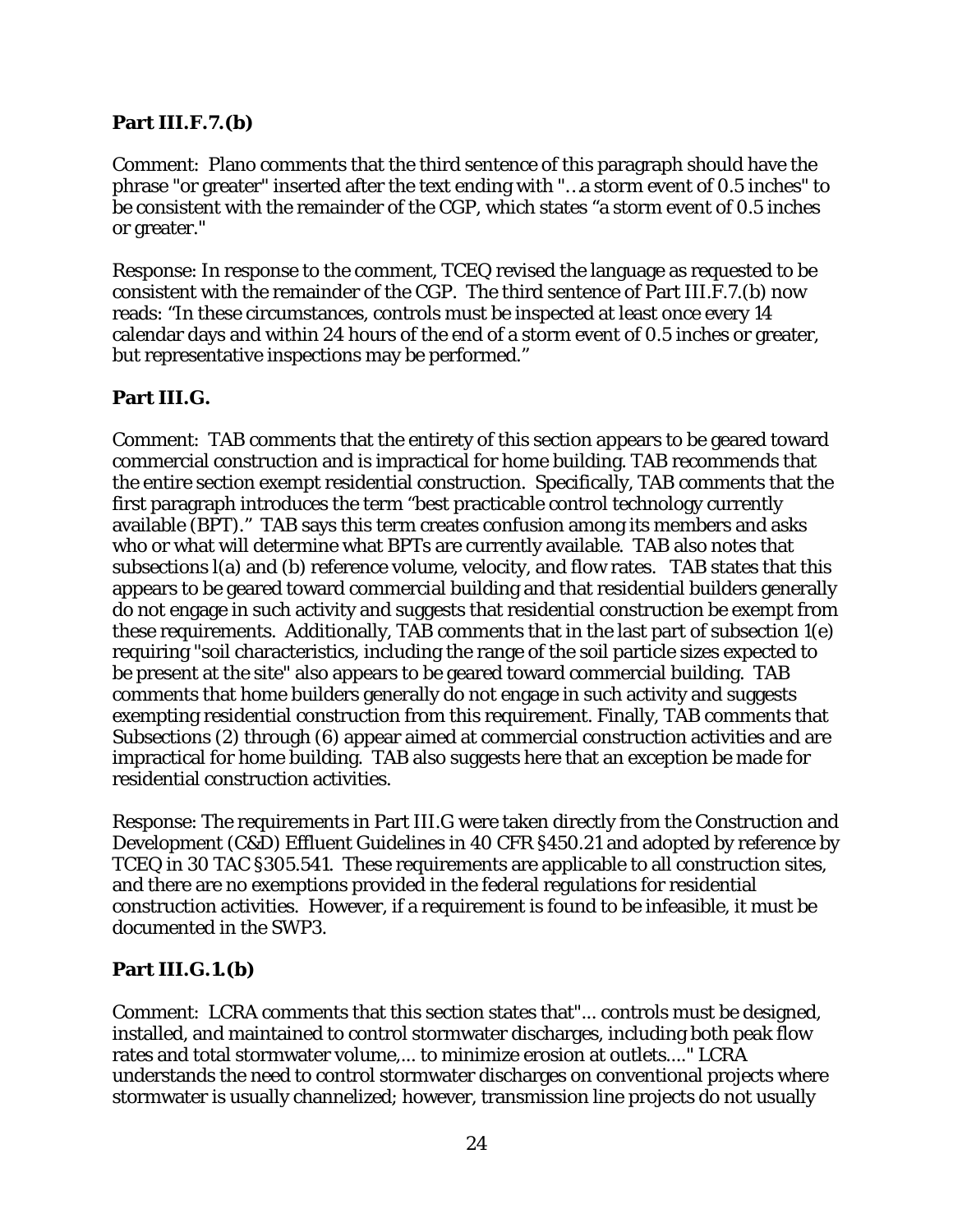#### **Part III.F.7.(b)**

Comment: Plano comments that the third sentence of this paragraph should have the phrase "or greater" inserted after the text ending with "…a storm event of 0.5 inches" to be consistent with the remainder of the CGP, which states "a storm event of 0.5 inches or greater."

Response: In response to the comment, TCEQ revised the language as requested to be consistent with the remainder of the CGP. The third sentence of Part III.F.7.(b) now reads: "In these circumstances, controls must be inspected at least once every 14 calendar days and within 24 hours of the end of a storm event of 0.5 inches or greater, but representative inspections may be performed."

#### **Part III.G.**

Comment: TAB comments that the entirety of this section appears to be geared toward commercial construction and is impractical for home building. TAB recommends that the entire section exempt residential construction. Specifically, TAB comments that the first paragraph introduces the term "best practicable control technology currently available (BPT)." TAB says this term creates confusion among its members and asks who or what will determine what BPTs are currently available. TAB also notes that subsections l(a) and (b) reference volume, velocity, and flow rates. TAB states that this appears to be geared toward commercial building and that residential builders generally do not engage in such activity and suggests that residential construction be exempt from these requirements. Additionally, TAB comments that in the last part of subsection 1(e) requiring "soil characteristics, including the range of the soil particle sizes expected to be present at the site" also appears to be geared toward commercial building. TAB comments that home builders generally do not engage in such activity and suggests exempting residential construction from this requirement. Finally, TAB comments that Subsections (2) through (6) appear aimed at commercial construction activities and are impractical for home building. TAB also suggests here that an exception be made for residential construction activities.

Response: The requirements in Part III.G were taken directly from the Construction and Development (C&D) Effluent Guidelines in 40 CFR §450.21 and adopted by reference by TCEQ in 30 TAC §305.541. These requirements are applicable to all construction sites, and there are no exemptions provided in the federal regulations for residential construction activities. However, if a requirement is found to be infeasible, it must be documented in the SWP3.

#### **Part III.G.1.(b)**

Comment: LCRA comments that this section states that"... controls must be designed, installed, and maintained to control stormwater discharges, including both peak flow rates and total stormwater volume,... to minimize erosion at outlets...." LCRA understands the need to control stormwater discharges on conventional projects where stormwater is usually channelized; however, transmission line projects do not usually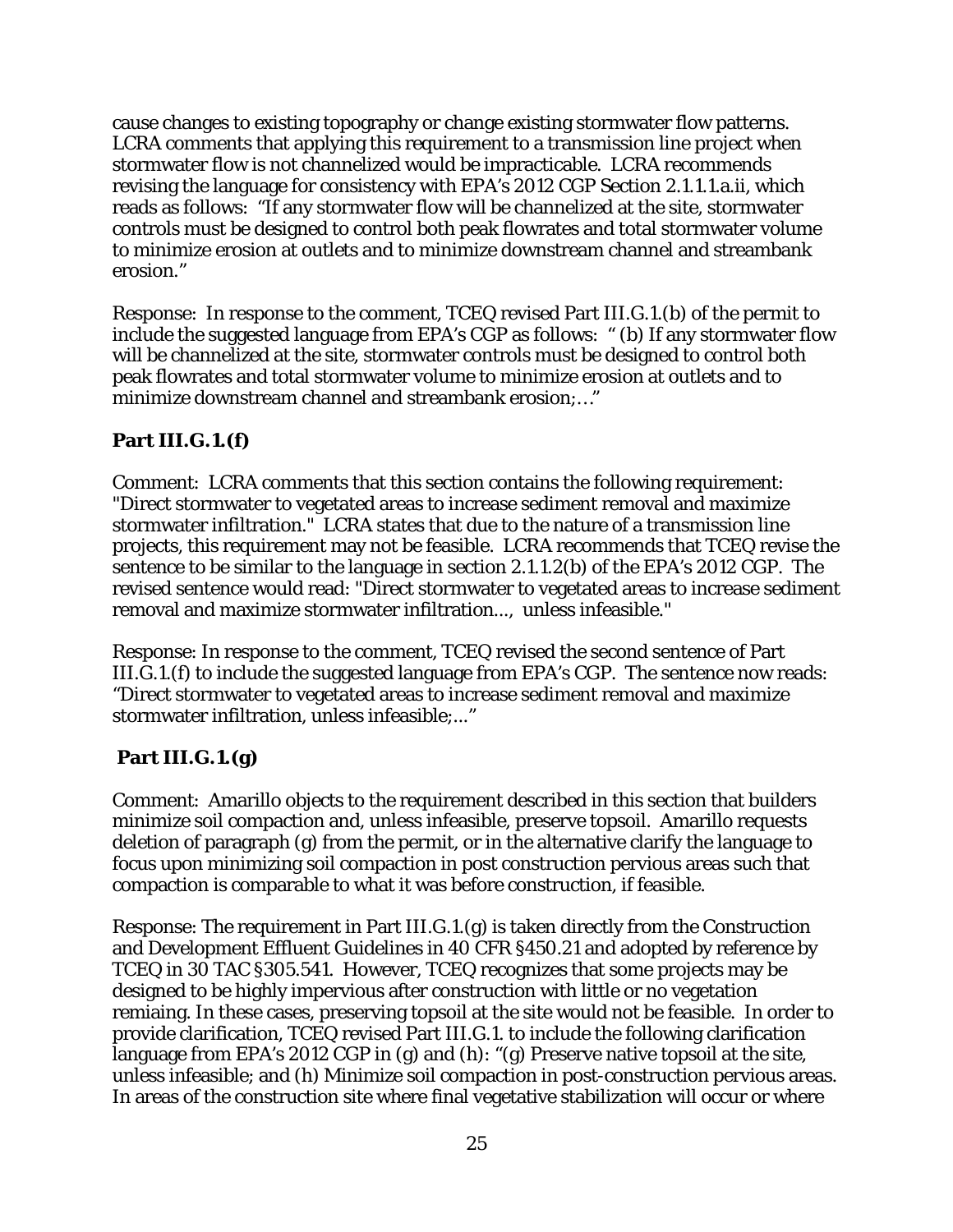cause changes to existing topography or change existing stormwater flow patterns. LCRA comments that applying this requirement to a transmission line project when stormwater flow is not channelized would be impracticable. LCRA recommends revising the language for consistency with EPA's 2012 CGP Section 2.1.1.1.a.ii, which reads as follows: "If any stormwater flow will be channelized at the site, stormwater controls must be designed to control both peak flowrates and total stormwater volume to minimize erosion at outlets and to minimize downstream channel and streambank erosion."

Response: In response to the comment, TCEQ revised Part III.G.1.(b) of the permit to include the suggested language from EPA's CGP as follows: " (b) If any stormwater flow will be channelized at the site, stormwater controls must be designed to control both peak flowrates and total stormwater volume to minimize erosion at outlets and to minimize downstream channel and streambank erosion;…"

#### **Part III.G.1.(f)**

Comment: LCRA comments that this section contains the following requirement: "Direct stormwater to vegetated areas to increase sediment removal and maximize stormwater infiltration." LCRA states that due to the nature of a transmission line projects, this requirement may not be feasible. LCRA recommends that TCEQ revise the sentence to be similar to the language in section 2.1.1.2(b) of the EPA's 2012 CGP. The revised sentence would read: "Direct stormwater to vegetated areas to increase sediment removal and maximize stormwater infiltration..., unless infeasible."

Response: In response to the comment, TCEQ revised the second sentence of Part III.G.1.(f) to include the suggested language from EPA's CGP. The sentence now reads: "Direct stormwater to vegetated areas to increase sediment removal and maximize stormwater infiltration, unless infeasible;..."

## **Part III.G.1.(g)**

Comment: Amarillo objects to the requirement described in this section that builders minimize soil compaction and, unless infeasible, preserve topsoil. Amarillo requests deletion of paragraph (g) from the permit, or in the alternative clarify the language to focus upon minimizing soil compaction in post construction pervious areas such that compaction is comparable to what it was before construction, if feasible.

Response: The requirement in Part III.G.1.(g) is taken directly from the Construction and Development Effluent Guidelines in 40 CFR §450.21 and adopted by reference by TCEQ in 30 TAC §305.541. However, TCEQ recognizes that some projects may be designed to be highly impervious after construction with little or no vegetation remiaing. In these cases, preserving topsoil at the site would not be feasible. In order to provide clarification, TCEQ revised Part III.G.1. to include the following clarification language from EPA's 2012 CGP in (g) and (h): "(g) Preserve native topsoil at the site, unless infeasible; and (h) Minimize soil compaction in post-construction pervious areas. In areas of the construction site where final vegetative stabilization will occur or where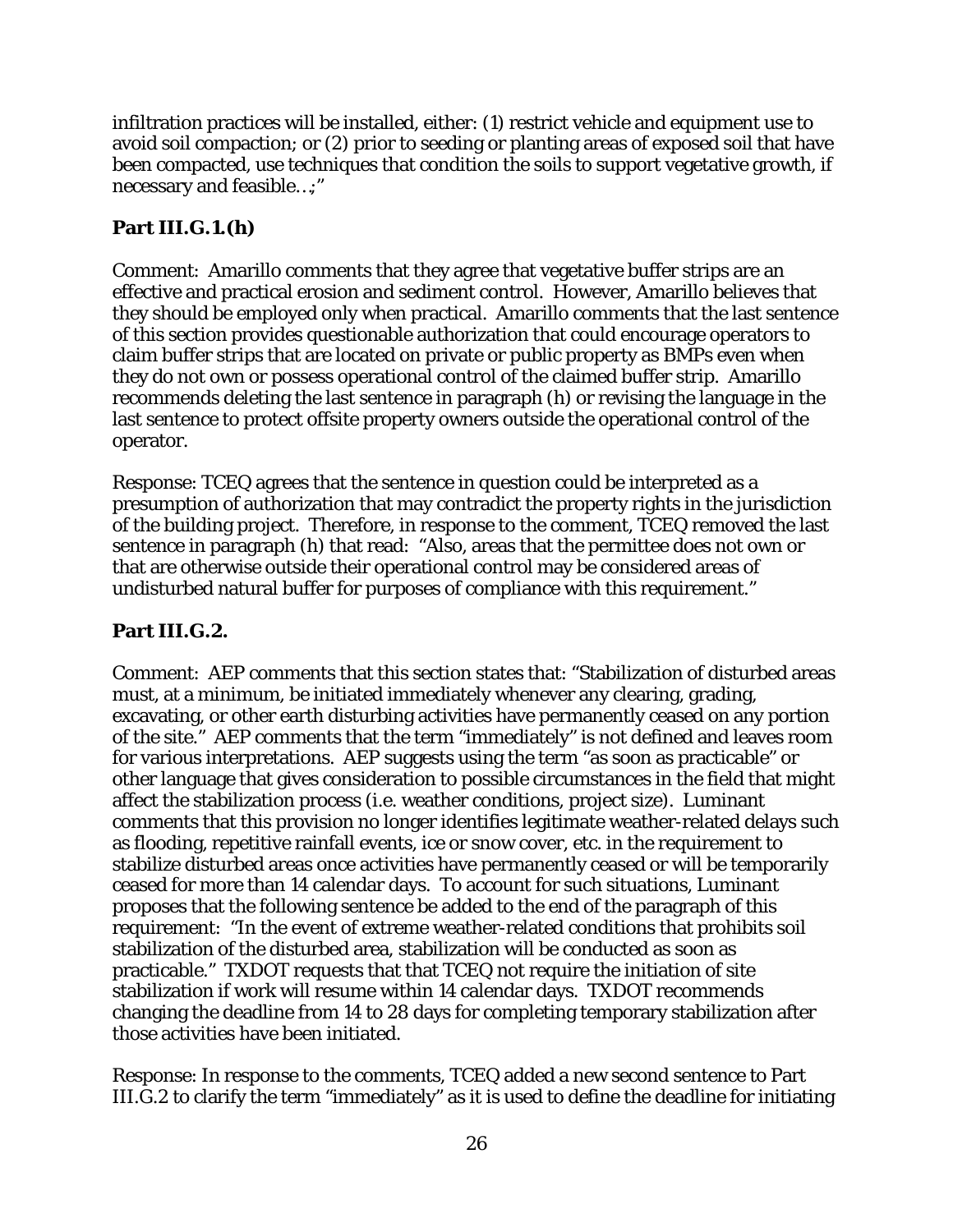infiltration practices will be installed, either: (1) restrict vehicle and equipment use to avoid soil compaction; or (2) prior to seeding or planting areas of exposed soil that have been compacted, use techniques that condition the soils to support vegetative growth, if necessary and feasible…;"

#### **Part III.G.1.(h)**

Comment: Amarillo comments that they agree that vegetative buffer strips are an effective and practical erosion and sediment control. However, Amarillo believes that they should be employed only when practical. Amarillo comments that the last sentence of this section provides questionable authorization that could encourage operators to claim buffer strips that are located on private or public property as BMPs even when they do not own or possess operational control of the claimed buffer strip. Amarillo recommends deleting the last sentence in paragraph (h) or revising the language in the last sentence to protect offsite property owners outside the operational control of the operator.

Response: TCEQ agrees that the sentence in question could be interpreted as a presumption of authorization that may contradict the property rights in the jurisdiction of the building project. Therefore, in response to the comment, TCEQ removed the last sentence in paragraph (h) that read: "Also, areas that the permittee does not own or that are otherwise outside their operational control may be considered areas of undisturbed natural buffer for purposes of compliance with this requirement."

#### **Part III.G.2.**

Comment: AEP comments that this section states that: "Stabilization of disturbed areas must, at a minimum, be initiated immediately whenever any clearing, grading, excavating, or other earth disturbing activities have permanently ceased on any portion of the site." AEP comments that the term "immediately" is not defined and leaves room for various interpretations. AEP suggests using the term "as soon as practicable" or other language that gives consideration to possible circumstances in the field that might affect the stabilization process (i.e. weather conditions, project size). Luminant comments that this provision no longer identifies legitimate weather-related delays such as flooding, repetitive rainfall events, ice or snow cover, etc. in the requirement to stabilize disturbed areas once activities have permanently ceased or will be temporarily ceased for more than 14 calendar days. To account for such situations, Luminant proposes that the following sentence be added to the end of the paragraph of this requirement: "In the event of extreme weather-related conditions that prohibits soil stabilization of the disturbed area, stabilization will be conducted as soon as practicable." TXDOT requests that that TCEQ not require the initiation of site stabilization if work will resume within 14 calendar days. TXDOT recommends changing the deadline from 14 to 28 days for completing temporary stabilization after those activities have been initiated.

Response: In response to the comments, TCEQ added a new second sentence to Part III.G.2 to clarify the term "immediately" as it is used to define the deadline for initiating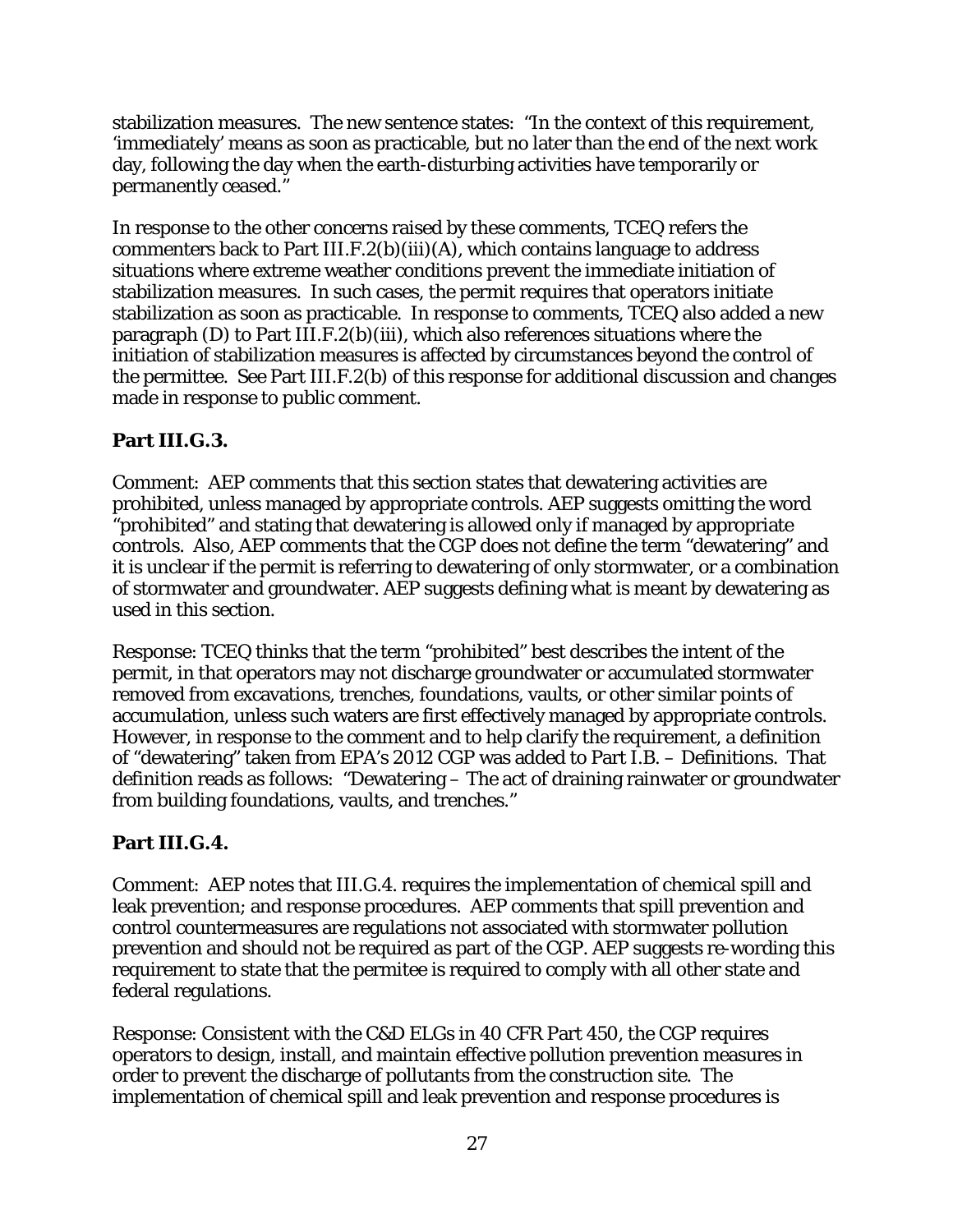stabilization measures. The new sentence states: "In the context of this requirement, 'immediately' means as soon as practicable, but no later than the end of the next work day, following the day when the earth-disturbing activities have temporarily or permanently ceased."

In response to the other concerns raised by these comments, TCEQ refers the commenters back to Part III.F.2(b)(iii)(A), which contains language to address situations where extreme weather conditions prevent the immediate initiation of stabilization measures. In such cases, the permit requires that operators initiate stabilization as soon as practicable. In response to comments, TCEQ also added a new paragraph (D) to Part III.F.2(b)(iii), which also references situations where the initiation of stabilization measures is affected by circumstances beyond the control of the permittee. See Part III.F.2(b) of this response for additional discussion and changes made in response to public comment.

## **Part III.G.3.**

Comment: AEP comments that this section states that dewatering activities are prohibited, unless managed by appropriate controls. AEP suggests omitting the word "prohibited" and stating that dewatering is allowed only if managed by appropriate controls. Also, AEP comments that the CGP does not define the term "dewatering" and it is unclear if the permit is referring to dewatering of only stormwater, or a combination of stormwater and groundwater. AEP suggests defining what is meant by dewatering as used in this section.

Response: TCEQ thinks that the term "prohibited" best describes the intent of the permit, in that operators may not discharge groundwater or accumulated stormwater removed from excavations, trenches, foundations, vaults, or other similar points of accumulation, unless such waters are first effectively managed by appropriate controls. However, in response to the comment and to help clarify the requirement, a definition of "dewatering" taken from EPA's 2012 CGP was added to Part I.B. – Definitions. That definition reads as follows: "Dewatering – The act of draining rainwater or groundwater from building foundations, vaults, and trenches."

## **Part III.G.4.**

Comment: AEP notes that III.G.4. requires the implementation of chemical spill and leak prevention; and response procedures. AEP comments that spill prevention and control countermeasures are regulations not associated with stormwater pollution prevention and should not be required as part of the CGP. AEP suggests re-wording this requirement to state that the permitee is required to comply with all other state and federal regulations.

Response: Consistent with the C&D ELGs in 40 CFR Part 450, the CGP requires operators to design, install, and maintain effective pollution prevention measures in order to prevent the discharge of pollutants from the construction site. The implementation of chemical spill and leak prevention and response procedures is